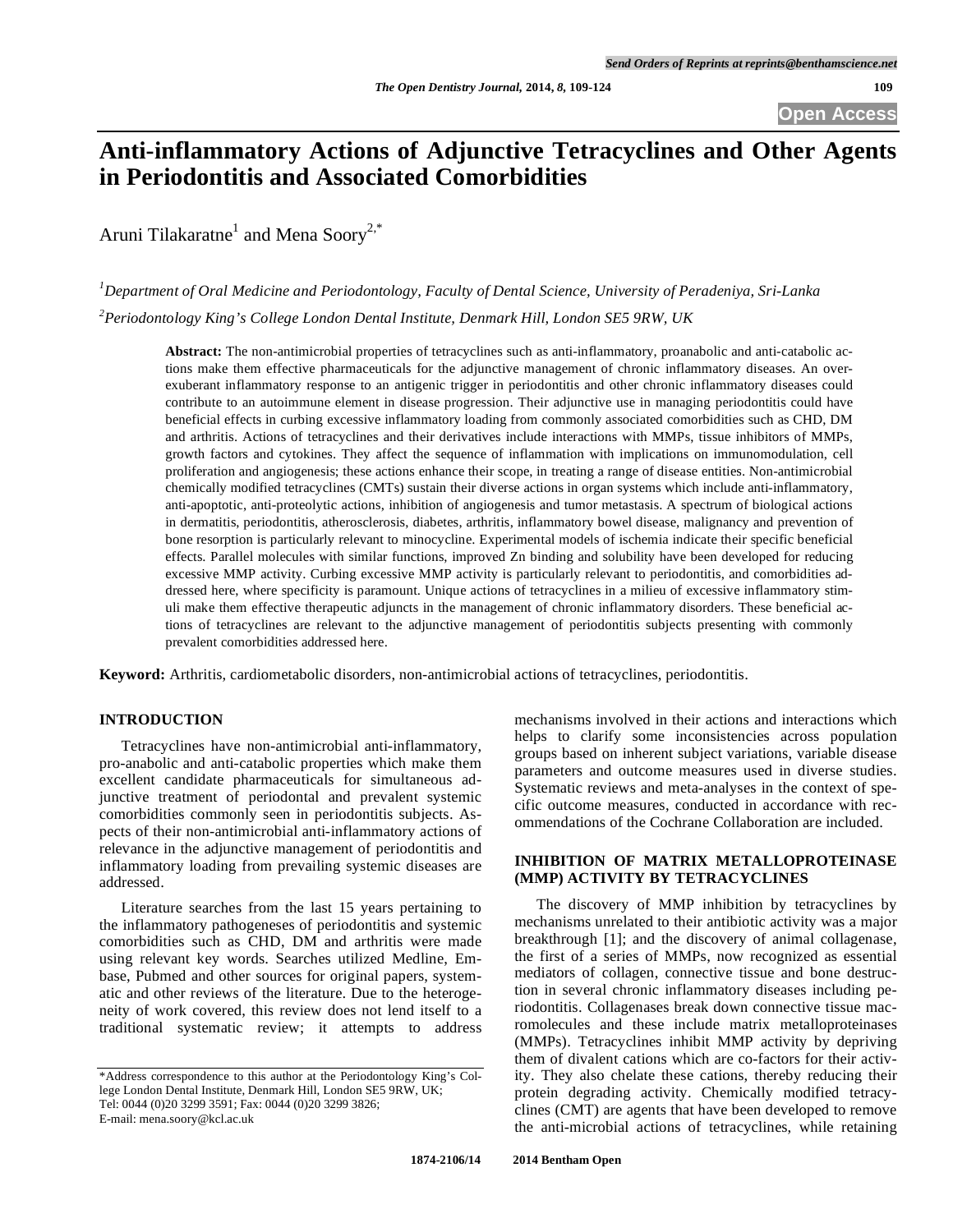# **Anti-inflammatory Actions of Adjunctive Tetracyclines and Other Agents in Periodontitis and Associated Comorbidities**

Aruni Tilakaratne<sup>1</sup> and Mena Soory<sup>2,\*</sup>

*1 Department of Oral Medicine and Periodontology, Faculty of Dental Science, University of Peradeniya, Sri-Lanka 2 Periodontology King's College London Dental Institute, Denmark Hill, London SE5 9RW, UK* 

**Abstract:** The non-antimicrobial properties of tetracyclines such as anti-inflammatory, proanabolic and anti-catabolic actions make them effective pharmaceuticals for the adjunctive management of chronic inflammatory diseases. An overexuberant inflammatory response to an antigenic trigger in periodontitis and other chronic inflammatory diseases could contribute to an autoimmune element in disease progression. Their adjunctive use in managing periodontitis could have beneficial effects in curbing excessive inflammatory loading from commonly associated comorbidities such as CHD, DM and arthritis. Actions of tetracyclines and their derivatives include interactions with MMPs, tissue inhibitors of MMPs, growth factors and cytokines. They affect the sequence of inflammation with implications on immunomodulation, cell proliferation and angiogenesis; these actions enhance their scope, in treating a range of disease entities. Non-antimicrobial chemically modified tetracyclines (CMTs) sustain their diverse actions in organ systems which include anti-inflammatory, anti-apoptotic, anti-proteolytic actions, inhibition of angiogenesis and tumor metastasis. A spectrum of biological actions in dermatitis, periodontitis, atherosclerosis, diabetes, arthritis, inflammatory bowel disease, malignancy and prevention of bone resorption is particularly relevant to minocycline. Experimental models of ischemia indicate their specific beneficial effects. Parallel molecules with similar functions, improved Zn binding and solubility have been developed for reducing excessive MMP activity. Curbing excessive MMP activity is particularly relevant to periodontitis, and comorbidities addressed here, where specificity is paramount. Unique actions of tetracyclines in a milieu of excessive inflammatory stimuli make them effective therapeutic adjuncts in the management of chronic inflammatory disorders. These beneficial actions of tetracyclines are relevant to the adjunctive management of periodontitis subjects presenting with commonly prevalent comorbidities addressed here.

**Keyword:** Arthritis, cardiometabolic disorders, non-antimicrobial actions of tetracyclines, periodontitis.

## **INTRODUCTION**

Tetracyclines have non-antimicrobial anti-inflammatory, pro-anabolic and anti-catabolic properties which make them excellent candidate pharmaceuticals for simultaneous adjunctive treatment of periodontal and prevalent systemic comorbidities commonly seen in periodontitis subjects. Aspects of their non-antimicrobial anti-inflammatory actions of relevance in the adjunctive management of periodontitis and inflammatory loading from prevailing systemic diseases are addressed.

Literature searches from the last 15 years pertaining to the inflammatory pathogeneses of periodontitis and systemic comorbidities such as CHD, DM and arthritis were made using relevant key words. Searches utilized Medline, Embase, Pubmed and other sources for original papers, systematic and other reviews of the literature. Due to the heterogeneity of work covered, this review does not lend itself to a traditional systematic review; it attempts to address mechanisms involved in their actions and interactions which helps to clarify some inconsistencies across population groups based on inherent subject variations, variable disease parameters and outcome measures used in diverse studies. Systematic reviews and meta-analyses in the context of specific outcome measures, conducted in accordance with recommendations of the Cochrane Collaboration are included.

### **INHIBITION OF MATRIX METALLOPROTEINASE (MMP) ACTIVITY BY TETRACYCLINES**

The discovery of MMP inhibition by tetracyclines by mechanisms unrelated to their antibiotic activity was a major breakthrough [1]; and the discovery of animal collagenase, the first of a series of MMPs, now recognized as essential mediators of collagen, connective tissue and bone destruction in several chronic inflammatory diseases including periodontitis. Collagenases break down connective tissue macromolecules and these include matrix metalloproteinases (MMPs). Tetracyclines inhibit MMP activity by depriving them of divalent cations which are co-factors for their activity. They also chelate these cations, thereby reducing their protein degrading activity. Chemically modified tetracyclines (CMT) are agents that have been developed to remove the anti-microbial actions of tetracyclines, while retaining

<sup>\*</sup>Address correspondence to this author at the Periodontology King's College London Dental Institute, Denmark Hill, London SE5 9RW, UK; Tel: 0044 (0)20 3299 3591; Fax: 0044 (0)20 3299 3826; E-mail: mena.soory@kcl.ac.uk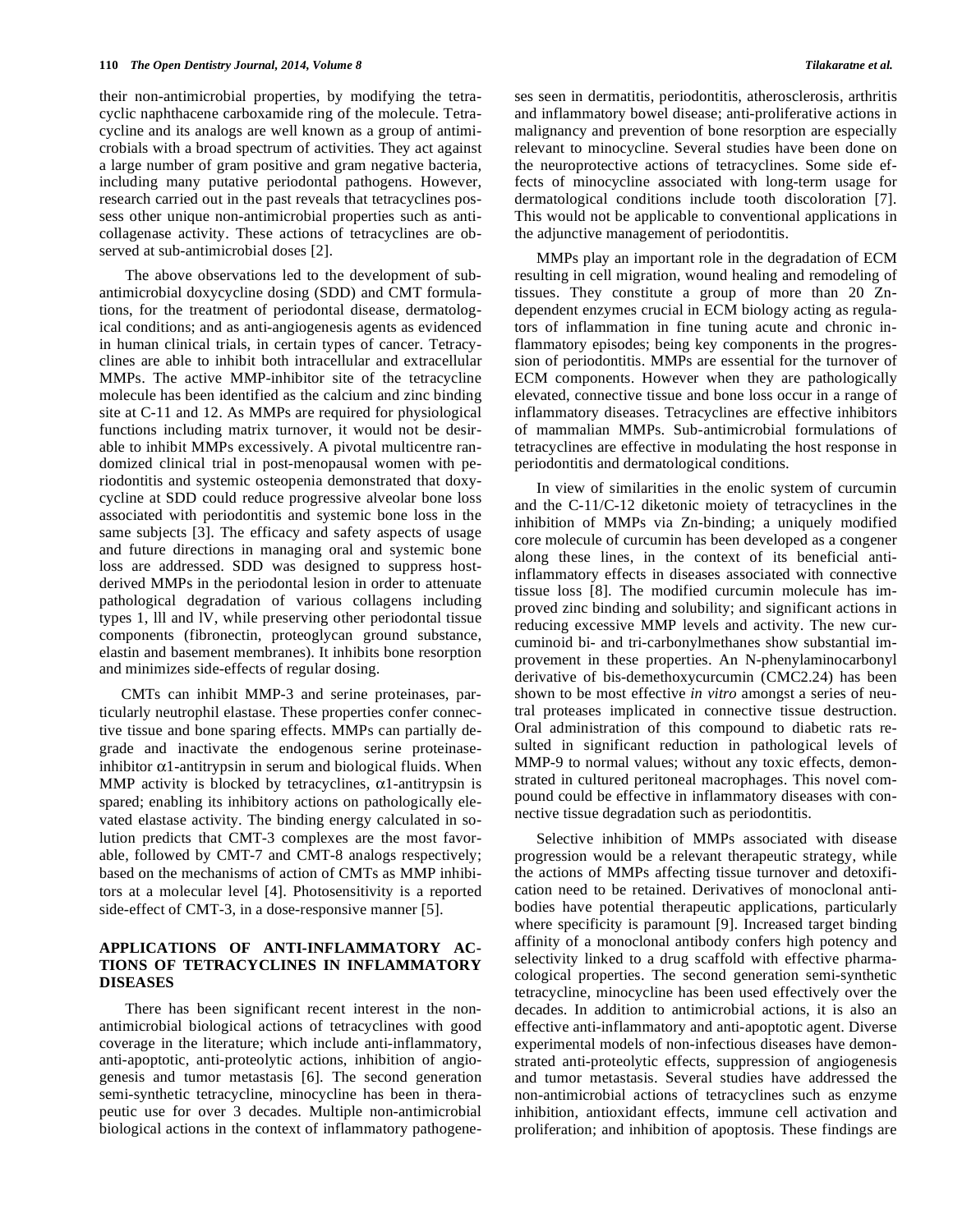their non-antimicrobial properties, by modifying the tetracyclic naphthacene carboxamide ring of the molecule. Tetracycline and its analogs are well known as a group of antimicrobials with a broad spectrum of activities. They act against a large number of gram positive and gram negative bacteria, including many putative periodontal pathogens. However, research carried out in the past reveals that tetracyclines possess other unique non-antimicrobial properties such as anticollagenase activity. These actions of tetracyclines are observed at sub-antimicrobial doses [2].

 The above observations led to the development of subantimicrobial doxycycline dosing (SDD) and CMT formulations, for the treatment of periodontal disease, dermatological conditions; and as anti-angiogenesis agents as evidenced in human clinical trials, in certain types of cancer. Tetracyclines are able to inhibit both intracellular and extracellular MMPs. The active MMP-inhibitor site of the tetracycline molecule has been identified as the calcium and zinc binding site at C-11 and 12. As MMPs are required for physiological functions including matrix turnover, it would not be desirable to inhibit MMPs excessively. A pivotal multicentre randomized clinical trial in post-menopausal women with periodontitis and systemic osteopenia demonstrated that doxycycline at SDD could reduce progressive alveolar bone loss associated with periodontitis and systemic bone loss in the same subjects [3]. The efficacy and safety aspects of usage and future directions in managing oral and systemic bone loss are addressed. SDD was designed to suppress hostderived MMPs in the periodontal lesion in order to attenuate pathological degradation of various collagens including types 1, lll and lV, while preserving other periodontal tissue components (fibronectin, proteoglycan ground substance, elastin and basement membranes). It inhibits bone resorption and minimizes side-effects of regular dosing.

CMTs can inhibit MMP-3 and serine proteinases, particularly neutrophil elastase. These properties confer connective tissue and bone sparing effects. MMPs can partially degrade and inactivate the endogenous serine proteinaseinhibitor  $\alpha$ 1-antitrypsin in serum and biological fluids. When MMP activity is blocked by tetracyclines,  $\alpha$ 1-antitrypsin is spared; enabling its inhibitory actions on pathologically elevated elastase activity. The binding energy calculated in solution predicts that CMT-3 complexes are the most favorable, followed by CMT-7 and CMT-8 analogs respectively; based on the mechanisms of action of CMTs as MMP inhibitors at a molecular level [4]. Photosensitivity is a reported side-effect of CMT-3, in a dose-responsive manner [5].

#### **APPLICATIONS OF ANTI-INFLAMMATORY AC-TIONS OF TETRACYCLINES IN INFLAMMATORY DISEASES**

 There has been significant recent interest in the nonantimicrobial biological actions of tetracyclines with good coverage in the literature; which include anti-inflammatory, anti-apoptotic, anti-proteolytic actions, inhibition of angiogenesis and tumor metastasis [6]. The second generation semi-synthetic tetracycline, minocycline has been in therapeutic use for over 3 decades. Multiple non-antimicrobial biological actions in the context of inflammatory pathogeneses seen in dermatitis, periodontitis, atherosclerosis, arthritis and inflammatory bowel disease; anti-proliferative actions in malignancy and prevention of bone resorption are especially relevant to minocycline. Several studies have been done on the neuroprotective actions of tetracyclines. Some side effects of minocycline associated with long-term usage for dermatological conditions include tooth discoloration [7]. This would not be applicable to conventional applications in the adjunctive management of periodontitis.

MMPs play an important role in the degradation of ECM resulting in cell migration, wound healing and remodeling of tissues. They constitute a group of more than 20 Zndependent enzymes crucial in ECM biology acting as regulators of inflammation in fine tuning acute and chronic inflammatory episodes; being key components in the progression of periodontitis. MMPs are essential for the turnover of ECM components. However when they are pathologically elevated, connective tissue and bone loss occur in a range of inflammatory diseases. Tetracyclines are effective inhibitors of mammalian MMPs. Sub-antimicrobial formulations of tetracyclines are effective in modulating the host response in periodontitis and dermatological conditions.

In view of similarities in the enolic system of curcumin and the C-11/C-12 diketonic moiety of tetracyclines in the inhibition of MMPs via Zn-binding; a uniquely modified core molecule of curcumin has been developed as a congener along these lines, in the context of its beneficial antiinflammatory effects in diseases associated with connective tissue loss [8]. The modified curcumin molecule has improved zinc binding and solubility; and significant actions in reducing excessive MMP levels and activity. The new curcuminoid bi- and tri-carbonylmethanes show substantial improvement in these properties. An N-phenylaminocarbonyl derivative of bis-demethoxycurcumin (CMC2.24) has been shown to be most effective *in vitro* amongst a series of neutral proteases implicated in connective tissue destruction. Oral administration of this compound to diabetic rats resulted in significant reduction in pathological levels of MMP-9 to normal values; without any toxic effects, demonstrated in cultured peritoneal macrophages. This novel compound could be effective in inflammatory diseases with connective tissue degradation such as periodontitis.

Selective inhibition of MMPs associated with disease progression would be a relevant therapeutic strategy, while the actions of MMPs affecting tissue turnover and detoxification need to be retained. Derivatives of monoclonal antibodies have potential therapeutic applications, particularly where specificity is paramount [9]. Increased target binding affinity of a monoclonal antibody confers high potency and selectivity linked to a drug scaffold with effective pharmacological properties. The second generation semi-synthetic tetracycline, minocycline has been used effectively over the decades. In addition to antimicrobial actions, it is also an effective anti-inflammatory and anti-apoptotic agent. Diverse experimental models of non-infectious diseases have demonstrated anti-proteolytic effects, suppression of angiogenesis and tumor metastasis. Several studies have addressed the non-antimicrobial actions of tetracyclines such as enzyme inhibition, antioxidant effects, immune cell activation and proliferation; and inhibition of apoptosis. These findings are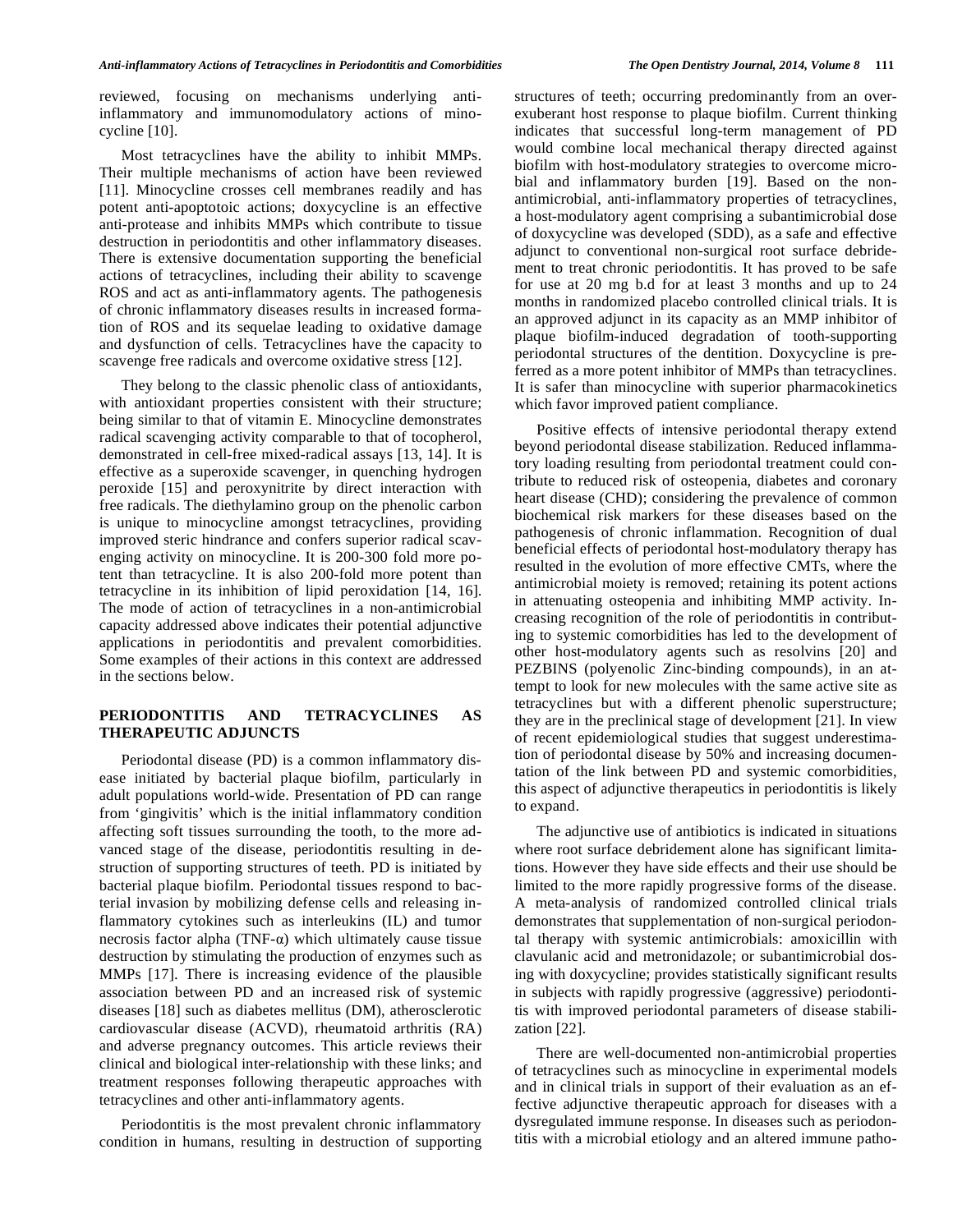reviewed, focusing on mechanisms underlying antiinflammatory and immunomodulatory actions of minocycline [10].

Most tetracyclines have the ability to inhibit MMPs. Their multiple mechanisms of action have been reviewed [11]. Minocycline crosses cell membranes readily and has potent anti-apoptotoic actions; doxycycline is an effective anti-protease and inhibits MMPs which contribute to tissue destruction in periodontitis and other inflammatory diseases. There is extensive documentation supporting the beneficial actions of tetracyclines, including their ability to scavenge ROS and act as anti-inflammatory agents. The pathogenesis of chronic inflammatory diseases results in increased formation of ROS and its sequelae leading to oxidative damage and dysfunction of cells. Tetracyclines have the capacity to scavenge free radicals and overcome oxidative stress [12].

They belong to the classic phenolic class of antioxidants, with antioxidant properties consistent with their structure; being similar to that of vitamin E. Minocycline demonstrates radical scavenging activity comparable to that of tocopherol, demonstrated in cell-free mixed-radical assays [13, 14]. It is effective as a superoxide scavenger, in quenching hydrogen peroxide [15] and peroxynitrite by direct interaction with free radicals. The diethylamino group on the phenolic carbon is unique to minocycline amongst tetracyclines, providing improved steric hindrance and confers superior radical scavenging activity on minocycline. It is 200-300 fold more potent than tetracycline. It is also 200-fold more potent than tetracycline in its inhibition of lipid peroxidation [14, 16]. The mode of action of tetracyclines in a non-antimicrobial capacity addressed above indicates their potential adjunctive applications in periodontitis and prevalent comorbidities. Some examples of their actions in this context are addressed in the sections below.

#### **PERIODONTITIS AND TETRACYCLINES AS THERAPEUTIC ADJUNCTS**

Periodontal disease (PD) is a common inflammatory disease initiated by bacterial plaque biofilm, particularly in adult populations world-wide. Presentation of PD can range from 'gingivitis' which is the initial inflammatory condition affecting soft tissues surrounding the tooth, to the more advanced stage of the disease, periodontitis resulting in destruction of supporting structures of teeth. PD is initiated by bacterial plaque biofilm. Periodontal tissues respond to bacterial invasion by mobilizing defense cells and releasing inflammatory cytokines such as interleukins (IL) and tumor necrosis factor alpha (TNF- $\alpha$ ) which ultimately cause tissue destruction by stimulating the production of enzymes such as MMPs [17]. There is increasing evidence of the plausible association between PD and an increased risk of systemic diseases [18] such as diabetes mellitus (DM), atherosclerotic cardiovascular disease (ACVD), rheumatoid arthritis (RA) and adverse pregnancy outcomes. This article reviews their clinical and biological inter-relationship with these links; and treatment responses following therapeutic approaches with tetracyclines and other anti-inflammatory agents.

Periodontitis is the most prevalent chronic inflammatory condition in humans, resulting in destruction of supporting structures of teeth; occurring predominantly from an overexuberant host response to plaque biofilm. Current thinking indicates that successful long-term management of PD would combine local mechanical therapy directed against biofilm with host-modulatory strategies to overcome microbial and inflammatory burden [19]. Based on the nonantimicrobial, anti-inflammatory properties of tetracyclines, a host-modulatory agent comprising a subantimicrobial dose of doxycycline was developed (SDD), as a safe and effective adjunct to conventional non-surgical root surface debridement to treat chronic periodontitis. It has proved to be safe for use at 20 mg b.d for at least 3 months and up to 24 months in randomized placebo controlled clinical trials. It is an approved adjunct in its capacity as an MMP inhibitor of plaque biofilm-induced degradation of tooth-supporting periodontal structures of the dentition. Doxycycline is preferred as a more potent inhibitor of MMPs than tetracyclines. It is safer than minocycline with superior pharmacokinetics which favor improved patient compliance.

Positive effects of intensive periodontal therapy extend beyond periodontal disease stabilization. Reduced inflammatory loading resulting from periodontal treatment could contribute to reduced risk of osteopenia, diabetes and coronary heart disease (CHD); considering the prevalence of common biochemical risk markers for these diseases based on the pathogenesis of chronic inflammation. Recognition of dual beneficial effects of periodontal host-modulatory therapy has resulted in the evolution of more effective CMTs, where the antimicrobial moiety is removed; retaining its potent actions in attenuating osteopenia and inhibiting MMP activity. Increasing recognition of the role of periodontitis in contributing to systemic comorbidities has led to the development of other host-modulatory agents such as resolvins [20] and PEZBINS (polyenolic Zinc-binding compounds), in an attempt to look for new molecules with the same active site as tetracyclines but with a different phenolic superstructure; they are in the preclinical stage of development [21]. In view of recent epidemiological studies that suggest underestimation of periodontal disease by 50% and increasing documentation of the link between PD and systemic comorbidities, this aspect of adjunctive therapeutics in periodontitis is likely to expand.

The adjunctive use of antibiotics is indicated in situations where root surface debridement alone has significant limitations. However they have side effects and their use should be limited to the more rapidly progressive forms of the disease. A meta-analysis of randomized controlled clinical trials demonstrates that supplementation of non-surgical periodontal therapy with systemic antimicrobials: amoxicillin with clavulanic acid and metronidazole; or subantimicrobial dosing with doxycycline; provides statistically significant results in subjects with rapidly progressive (aggressive) periodontitis with improved periodontal parameters of disease stabilization [22].

There are well-documented non-antimicrobial properties of tetracyclines such as minocycline in experimental models and in clinical trials in support of their evaluation as an effective adjunctive therapeutic approach for diseases with a dysregulated immune response. In diseases such as periodontitis with a microbial etiology and an altered immune patho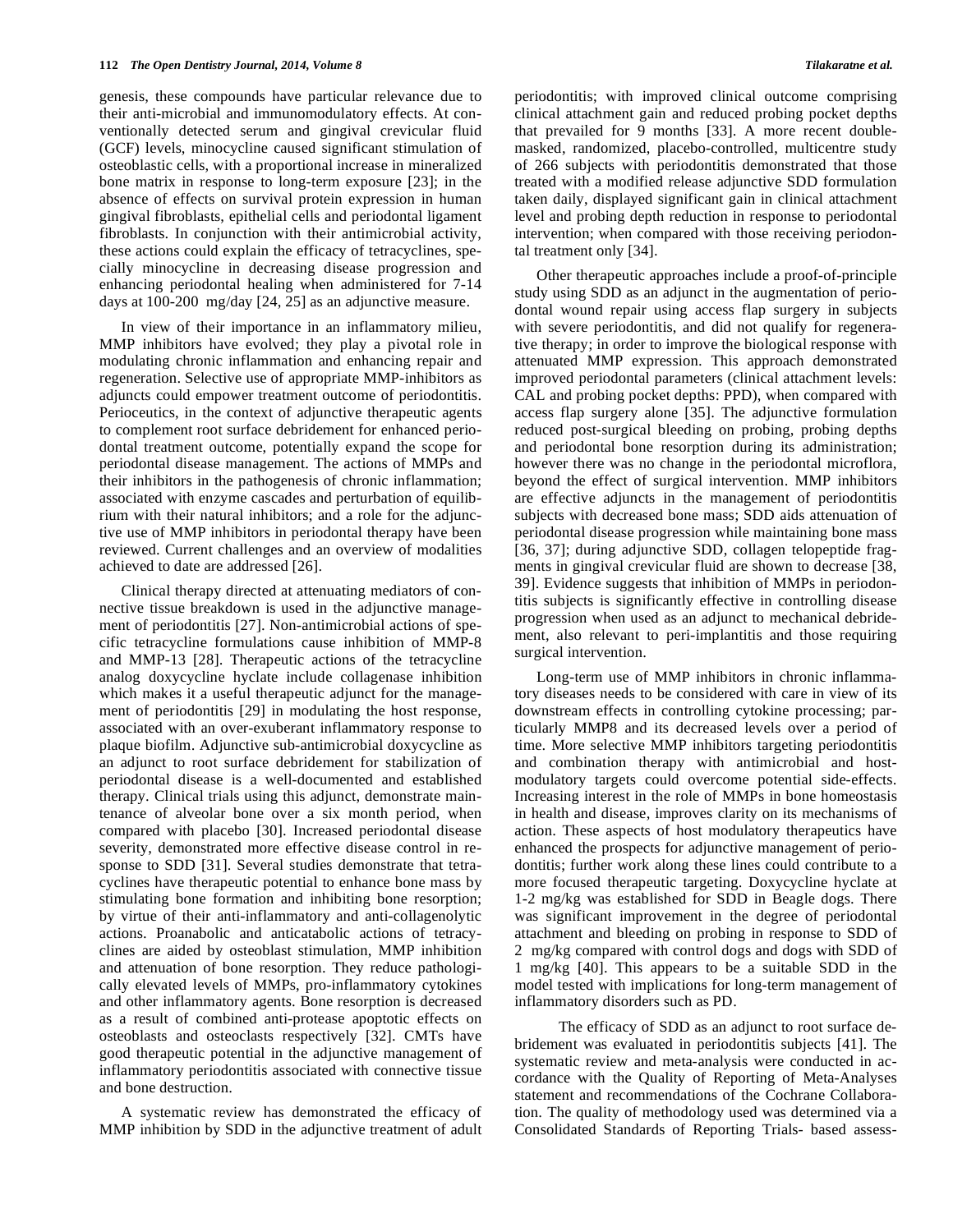genesis, these compounds have particular relevance due to their anti-microbial and immunomodulatory effects. At conventionally detected serum and gingival crevicular fluid (GCF) levels, minocycline caused significant stimulation of osteoblastic cells, with a proportional increase in mineralized bone matrix in response to long-term exposure [23]; in the absence of effects on survival protein expression in human gingival fibroblasts, epithelial cells and periodontal ligament fibroblasts. In conjunction with their antimicrobial activity, these actions could explain the efficacy of tetracyclines, specially minocycline in decreasing disease progression and enhancing periodontal healing when administered for 7-14 days at 100-200 mg/day [24, 25] as an adjunctive measure.

In view of their importance in an inflammatory milieu, MMP inhibitors have evolved; they play a pivotal role in modulating chronic inflammation and enhancing repair and regeneration. Selective use of appropriate MMP-inhibitors as adjuncts could empower treatment outcome of periodontitis. Perioceutics, in the context of adjunctive therapeutic agents to complement root surface debridement for enhanced periodontal treatment outcome, potentially expand the scope for periodontal disease management. The actions of MMPs and their inhibitors in the pathogenesis of chronic inflammation; associated with enzyme cascades and perturbation of equilibrium with their natural inhibitors; and a role for the adjunctive use of MMP inhibitors in periodontal therapy have been reviewed. Current challenges and an overview of modalities achieved to date are addressed [26].

Clinical therapy directed at attenuating mediators of connective tissue breakdown is used in the adjunctive management of periodontitis [27]. Non-antimicrobial actions of specific tetracycline formulations cause inhibition of MMP-8 and MMP-13 [28]. Therapeutic actions of the tetracycline analog doxycycline hyclate include collagenase inhibition which makes it a useful therapeutic adjunct for the management of periodontitis [29] in modulating the host response, associated with an over-exuberant inflammatory response to plaque biofilm. Adjunctive sub-antimicrobial doxycycline as an adjunct to root surface debridement for stabilization of periodontal disease is a well-documented and established therapy. Clinical trials using this adjunct, demonstrate maintenance of alveolar bone over a six month period, when compared with placebo [30]. Increased periodontal disease severity, demonstrated more effective disease control in response to SDD [31]. Several studies demonstrate that tetracyclines have therapeutic potential to enhance bone mass by stimulating bone formation and inhibiting bone resorption; by virtue of their anti-inflammatory and anti-collagenolytic actions. Proanabolic and anticatabolic actions of tetracyclines are aided by osteoblast stimulation, MMP inhibition and attenuation of bone resorption. They reduce pathologically elevated levels of MMPs, pro-inflammatory cytokines and other inflammatory agents. Bone resorption is decreased as a result of combined anti-protease apoptotic effects on osteoblasts and osteoclasts respectively [32]. CMTs have good therapeutic potential in the adjunctive management of inflammatory periodontitis associated with connective tissue and bone destruction.

A systematic review has demonstrated the efficacy of MMP inhibition by SDD in the adjunctive treatment of adult periodontitis; with improved clinical outcome comprising clinical attachment gain and reduced probing pocket depths that prevailed for 9 months [33]. A more recent doublemasked, randomized, placebo-controlled, multicentre study of 266 subjects with periodontitis demonstrated that those treated with a modified release adjunctive SDD formulation taken daily, displayed significant gain in clinical attachment level and probing depth reduction in response to periodontal intervention; when compared with those receiving periodontal treatment only [34].

Other therapeutic approaches include a proof-of-principle study using SDD as an adjunct in the augmentation of periodontal wound repair using access flap surgery in subjects with severe periodontitis, and did not qualify for regenerative therapy; in order to improve the biological response with attenuated MMP expression. This approach demonstrated improved periodontal parameters (clinical attachment levels: CAL and probing pocket depths: PPD), when compared with access flap surgery alone [35]. The adjunctive formulation reduced post-surgical bleeding on probing, probing depths and periodontal bone resorption during its administration; however there was no change in the periodontal microflora, beyond the effect of surgical intervention. MMP inhibitors are effective adjuncts in the management of periodontitis subjects with decreased bone mass; SDD aids attenuation of periodontal disease progression while maintaining bone mass [36, 37]; during adjunctive SDD, collagen telopeptide fragments in gingival crevicular fluid are shown to decrease [38, 39]. Evidence suggests that inhibition of MMPs in periodontitis subjects is significantly effective in controlling disease progression when used as an adjunct to mechanical debridement, also relevant to peri-implantitis and those requiring surgical intervention.

Long-term use of MMP inhibitors in chronic inflammatory diseases needs to be considered with care in view of its downstream effects in controlling cytokine processing; particularly MMP8 and its decreased levels over a period of time. More selective MMP inhibitors targeting periodontitis and combination therapy with antimicrobial and hostmodulatory targets could overcome potential side-effects. Increasing interest in the role of MMPs in bone homeostasis in health and disease, improves clarity on its mechanisms of action. These aspects of host modulatory therapeutics have enhanced the prospects for adjunctive management of periodontitis; further work along these lines could contribute to a more focused therapeutic targeting. Doxycycline hyclate at 1-2 mg/kg was established for SDD in Beagle dogs. There was significant improvement in the degree of periodontal attachment and bleeding on probing in response to SDD of 2 mg/kg compared with control dogs and dogs with SDD of 1 mg/kg [40]. This appears to be a suitable SDD in the model tested with implications for long-term management of inflammatory disorders such as PD.

 The efficacy of SDD as an adjunct to root surface debridement was evaluated in periodontitis subjects [41]. The systematic review and meta-analysis were conducted in accordance with the Quality of Reporting of Meta-Analyses statement and recommendations of the Cochrane Collaboration. The quality of methodology used was determined via a Consolidated Standards of Reporting Trials- based assess-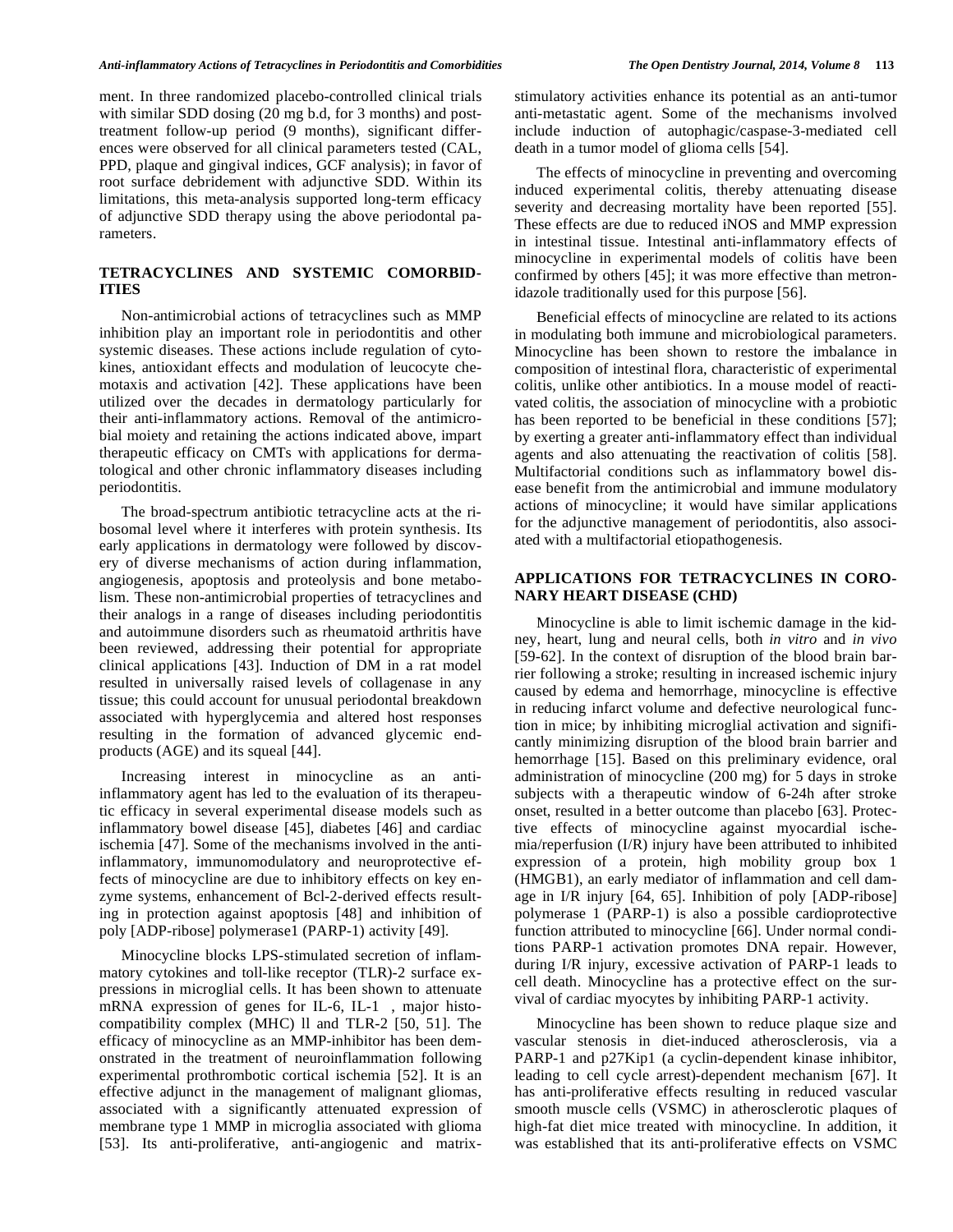ment. In three randomized placebo-controlled clinical trials with similar SDD dosing (20 mg b.d, for 3 months) and posttreatment follow-up period (9 months), significant differences were observed for all clinical parameters tested (CAL, PPD, plaque and gingival indices, GCF analysis); in favor of root surface debridement with adjunctive SDD. Within its limitations, this meta-analysis supported long-term efficacy of adjunctive SDD therapy using the above periodontal parameters.

## **TETRACYCLINES AND SYSTEMIC COMORBID-ITIES**

Non-antimicrobial actions of tetracyclines such as MMP inhibition play an important role in periodontitis and other systemic diseases. These actions include regulation of cytokines, antioxidant effects and modulation of leucocyte chemotaxis and activation [42]. These applications have been utilized over the decades in dermatology particularly for their anti-inflammatory actions. Removal of the antimicrobial moiety and retaining the actions indicated above, impart therapeutic efficacy on CMTs with applications for dermatological and other chronic inflammatory diseases including periodontitis.

The broad-spectrum antibiotic tetracycline acts at the ribosomal level where it interferes with protein synthesis. Its early applications in dermatology were followed by discovery of diverse mechanisms of action during inflammation, angiogenesis, apoptosis and proteolysis and bone metabolism. These non-antimicrobial properties of tetracyclines and their analogs in a range of diseases including periodontitis and autoimmune disorders such as rheumatoid arthritis have been reviewed, addressing their potential for appropriate clinical applications [43]. Induction of DM in a rat model resulted in universally raised levels of collagenase in any tissue; this could account for unusual periodontal breakdown associated with hyperglycemia and altered host responses resulting in the formation of advanced glycemic endproducts (AGE) and its squeal [44].

Increasing interest in minocycline as an antiinflammatory agent has led to the evaluation of its therapeutic efficacy in several experimental disease models such as inflammatory bowel disease [45], diabetes [46] and cardiac ischemia [47]. Some of the mechanisms involved in the antiinflammatory, immunomodulatory and neuroprotective effects of minocycline are due to inhibitory effects on key enzyme systems, enhancement of Bcl-2-derived effects resulting in protection against apoptosis [48] and inhibition of poly [ADP-ribose] polymerase1 (PARP-1) activity [49].

Minocycline blocks LPS-stimulated secretion of inflammatory cytokines and toll-like receptor (TLR)-2 surface expressions in microglial cells. It has been shown to attenuate mRNA expression of genes for IL-6, IL-1 , major histocompatibility complex (MHC) ll and TLR-2 [50, 51]. The efficacy of minocycline as an MMP-inhibitor has been demonstrated in the treatment of neuroinflammation following experimental prothrombotic cortical ischemia [52]. It is an effective adjunct in the management of malignant gliomas, associated with a significantly attenuated expression of membrane type 1 MMP in microglia associated with glioma [53]. Its anti-proliferative, anti-angiogenic and matrixstimulatory activities enhance its potential as an anti-tumor anti-metastatic agent. Some of the mechanisms involved include induction of autophagic/caspase-3-mediated cell death in a tumor model of glioma cells [54].

The effects of minocycline in preventing and overcoming induced experimental colitis, thereby attenuating disease severity and decreasing mortality have been reported [55]. These effects are due to reduced iNOS and MMP expression in intestinal tissue. Intestinal anti-inflammatory effects of minocycline in experimental models of colitis have been confirmed by others [45]; it was more effective than metronidazole traditionally used for this purpose [56].

Beneficial effects of minocycline are related to its actions in modulating both immune and microbiological parameters. Minocycline has been shown to restore the imbalance in composition of intestinal flora, characteristic of experimental colitis, unlike other antibiotics. In a mouse model of reactivated colitis, the association of minocycline with a probiotic has been reported to be beneficial in these conditions [57]; by exerting a greater anti-inflammatory effect than individual agents and also attenuating the reactivation of colitis [58]. Multifactorial conditions such as inflammatory bowel disease benefit from the antimicrobial and immune modulatory actions of minocycline; it would have similar applications for the adjunctive management of periodontitis, also associated with a multifactorial etiopathogenesis.

#### **APPLICATIONS FOR TETRACYCLINES IN CORO-NARY HEART DISEASE (CHD)**

Minocycline is able to limit ischemic damage in the kidney, heart, lung and neural cells, both *in vitro* and *in vivo* [59-62]. In the context of disruption of the blood brain barrier following a stroke; resulting in increased ischemic injury caused by edema and hemorrhage, minocycline is effective in reducing infarct volume and defective neurological function in mice; by inhibiting microglial activation and significantly minimizing disruption of the blood brain barrier and hemorrhage [15]. Based on this preliminary evidence, oral administration of minocycline (200 mg) for 5 days in stroke subjects with a therapeutic window of 6-24h after stroke onset, resulted in a better outcome than placebo [63]. Protective effects of minocycline against myocardial ischemia/reperfusion (I/R) injury have been attributed to inhibited expression of a protein, high mobility group box 1 (HMGB1), an early mediator of inflammation and cell damage in I/R injury [64, 65]. Inhibition of poly [ADP-ribose] polymerase 1 (PARP-1) is also a possible cardioprotective function attributed to minocycline [66]. Under normal conditions PARP-1 activation promotes DNA repair. However, during I/R injury, excessive activation of PARP-1 leads to cell death. Minocycline has a protective effect on the survival of cardiac myocytes by inhibiting PARP-1 activity.

Minocycline has been shown to reduce plaque size and vascular stenosis in diet-induced atherosclerosis, via a PARP-1 and p27Kip1 (a cyclin-dependent kinase inhibitor, leading to cell cycle arrest)-dependent mechanism [67]. It has anti-proliferative effects resulting in reduced vascular smooth muscle cells (VSMC) in atherosclerotic plaques of high-fat diet mice treated with minocycline. In addition, it was established that its anti-proliferative effects on VSMC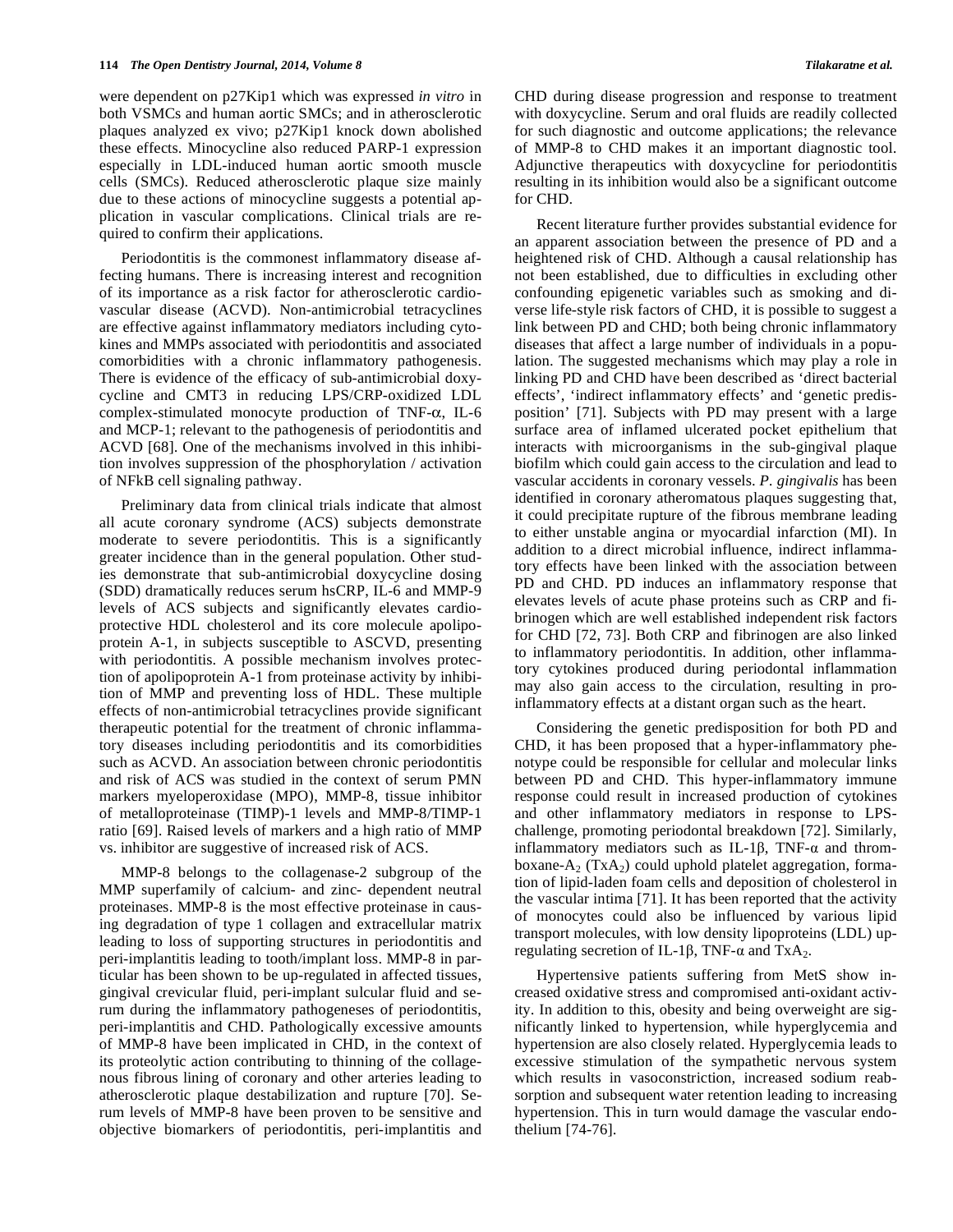were dependent on p27Kip1 which was expressed *in vitro* in both VSMCs and human aortic SMCs; and in atherosclerotic plaques analyzed ex vivo; p27Kip1 knock down abolished these effects. Minocycline also reduced PARP-1 expression especially in LDL-induced human aortic smooth muscle cells (SMCs). Reduced atherosclerotic plaque size mainly due to these actions of minocycline suggests a potential application in vascular complications. Clinical trials are required to confirm their applications.

Periodontitis is the commonest inflammatory disease affecting humans. There is increasing interest and recognition of its importance as a risk factor for atherosclerotic cardiovascular disease (ACVD). Non-antimicrobial tetracyclines are effective against inflammatory mediators including cytokines and MMPs associated with periodontitis and associated comorbidities with a chronic inflammatory pathogenesis. There is evidence of the efficacy of sub-antimicrobial doxycycline and CMT3 in reducing LPS/CRP-oxidized LDL complex-stimulated monocyte production of TNF- $\alpha$ , IL-6 and MCP-1; relevant to the pathogenesis of periodontitis and ACVD [68]. One of the mechanisms involved in this inhibition involves suppression of the phosphorylation / activation of NFkB cell signaling pathway.

Preliminary data from clinical trials indicate that almost all acute coronary syndrome (ACS) subjects demonstrate moderate to severe periodontitis. This is a significantly greater incidence than in the general population. Other studies demonstrate that sub-antimicrobial doxycycline dosing (SDD) dramatically reduces serum hsCRP, IL-6 and MMP-9 levels of ACS subjects and significantly elevates cardioprotective HDL cholesterol and its core molecule apolipoprotein A-1, in subjects susceptible to ASCVD, presenting with periodontitis. A possible mechanism involves protection of apolipoprotein A-1 from proteinase activity by inhibition of MMP and preventing loss of HDL. These multiple effects of non-antimicrobial tetracyclines provide significant therapeutic potential for the treatment of chronic inflammatory diseases including periodontitis and its comorbidities such as ACVD. An association between chronic periodontitis and risk of ACS was studied in the context of serum PMN markers myeloperoxidase (MPO), MMP-8, tissue inhibitor of metalloproteinase (TIMP)-1 levels and MMP-8/TIMP-1 ratio [69]. Raised levels of markers and a high ratio of MMP vs. inhibitor are suggestive of increased risk of ACS.

MMP-8 belongs to the collagenase-2 subgroup of the MMP superfamily of calcium- and zinc- dependent neutral proteinases. MMP-8 is the most effective proteinase in causing degradation of type 1 collagen and extracellular matrix leading to loss of supporting structures in periodontitis and peri-implantitis leading to tooth/implant loss. MMP-8 in particular has been shown to be up-regulated in affected tissues, gingival crevicular fluid, peri-implant sulcular fluid and serum during the inflammatory pathogeneses of periodontitis, peri-implantitis and CHD. Pathologically excessive amounts of MMP-8 have been implicated in CHD, in the context of its proteolytic action contributing to thinning of the collagenous fibrous lining of coronary and other arteries leading to atherosclerotic plaque destabilization and rupture [70]. Serum levels of MMP-8 have been proven to be sensitive and objective biomarkers of periodontitis, peri-implantitis and

CHD during disease progression and response to treatment with doxycycline. Serum and oral fluids are readily collected for such diagnostic and outcome applications; the relevance of MMP-8 to CHD makes it an important diagnostic tool. Adjunctive therapeutics with doxycycline for periodontitis resulting in its inhibition would also be a significant outcome for CHD.

Recent literature further provides substantial evidence for an apparent association between the presence of PD and a heightened risk of CHD. Although a causal relationship has not been established, due to difficulties in excluding other confounding epigenetic variables such as smoking and diverse life-style risk factors of CHD, it is possible to suggest a link between PD and CHD; both being chronic inflammatory diseases that affect a large number of individuals in a population. The suggested mechanisms which may play a role in linking PD and CHD have been described as 'direct bacterial effects', 'indirect inflammatory effects' and 'genetic predisposition' [71]. Subjects with PD may present with a large surface area of inflamed ulcerated pocket epithelium that interacts with microorganisms in the sub-gingival plaque biofilm which could gain access to the circulation and lead to vascular accidents in coronary vessels. *P. gingivalis* has been identified in coronary atheromatous plaques suggesting that, it could precipitate rupture of the fibrous membrane leading to either unstable angina or myocardial infarction (MI). In addition to a direct microbial influence, indirect inflammatory effects have been linked with the association between PD and CHD. PD induces an inflammatory response that elevates levels of acute phase proteins such as CRP and fibrinogen which are well established independent risk factors for CHD [72, 73]. Both CRP and fibrinogen are also linked to inflammatory periodontitis. In addition, other inflammatory cytokines produced during periodontal inflammation may also gain access to the circulation, resulting in proinflammatory effects at a distant organ such as the heart.

Considering the genetic predisposition for both PD and CHD, it has been proposed that a hyper-inflammatory phenotype could be responsible for cellular and molecular links between PD and CHD. This hyper-inflammatory immune response could result in increased production of cytokines and other inflammatory mediators in response to LPSchallenge, promoting periodontal breakdown [72]. Similarly, inflammatory mediators such as IL-1 $\beta$ , TNF- $\alpha$  and thromboxane- $A_2$  (Tx $A_2$ ) could uphold platelet aggregation, formation of lipid-laden foam cells and deposition of cholesterol in the vascular intima [71]. It has been reported that the activity of monocytes could also be influenced by various lipid transport molecules, with low density lipoproteins (LDL) upregulating secretion of IL-1 $\beta$ , TNF- $\alpha$  and TxA<sub>2</sub>.

Hypertensive patients suffering from MetS show increased oxidative stress and compromised anti-oxidant activity. In addition to this, obesity and being overweight are significantly linked to hypertension, while hyperglycemia and hypertension are also closely related. Hyperglycemia leads to excessive stimulation of the sympathetic nervous system which results in vasoconstriction, increased sodium reabsorption and subsequent water retention leading to increasing hypertension. This in turn would damage the vascular endothelium [74-76].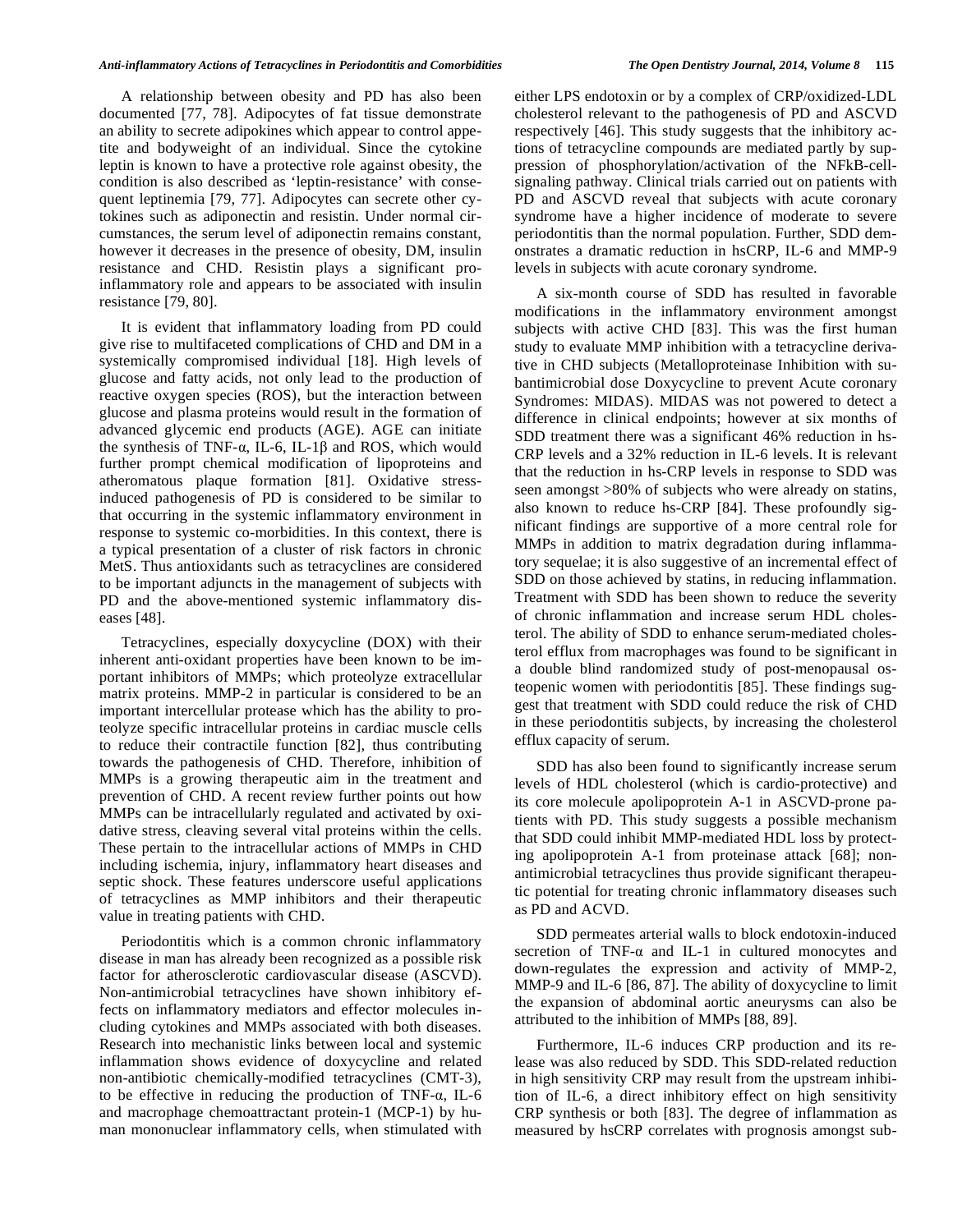A relationship between obesity and PD has also been documented [77, 78]. Adipocytes of fat tissue demonstrate an ability to secrete adipokines which appear to control appetite and bodyweight of an individual. Since the cytokine leptin is known to have a protective role against obesity, the condition is also described as 'leptin-resistance' with consequent leptinemia [79, 77]. Adipocytes can secrete other cytokines such as adiponectin and resistin. Under normal circumstances, the serum level of adiponectin remains constant, however it decreases in the presence of obesity, DM, insulin resistance and CHD. Resistin plays a significant proinflammatory role and appears to be associated with insulin resistance [79, 80].

It is evident that inflammatory loading from PD could give rise to multifaceted complications of CHD and DM in a systemically compromised individual [18]. High levels of glucose and fatty acids, not only lead to the production of reactive oxygen species (ROS), but the interaction between glucose and plasma proteins would result in the formation of advanced glycemic end products (AGE). AGE can initiate the synthesis of TNF- $\alpha$ , IL-6, IL-1 $\beta$  and ROS, which would further prompt chemical modification of lipoproteins and atheromatous plaque formation [81]. Oxidative stressinduced pathogenesis of PD is considered to be similar to that occurring in the systemic inflammatory environment in response to systemic co-morbidities. In this context, there is a typical presentation of a cluster of risk factors in chronic MetS. Thus antioxidants such as tetracyclines are considered to be important adjuncts in the management of subjects with PD and the above-mentioned systemic inflammatory diseases [48].

Tetracyclines, especially doxycycline (DOX) with their inherent anti-oxidant properties have been known to be important inhibitors of MMPs; which proteolyze extracellular matrix proteins. MMP-2 in particular is considered to be an important intercellular protease which has the ability to proteolyze specific intracellular proteins in cardiac muscle cells to reduce their contractile function [82], thus contributing towards the pathogenesis of CHD. Therefore, inhibition of MMPs is a growing therapeutic aim in the treatment and prevention of CHD. A recent review further points out how MMPs can be intracellularly regulated and activated by oxidative stress, cleaving several vital proteins within the cells. These pertain to the intracellular actions of MMPs in CHD including ischemia, injury, inflammatory heart diseases and septic shock. These features underscore useful applications of tetracyclines as MMP inhibitors and their therapeutic value in treating patients with CHD.

Periodontitis which is a common chronic inflammatory disease in man has already been recognized as a possible risk factor for atherosclerotic cardiovascular disease (ASCVD). Non-antimicrobial tetracyclines have shown inhibitory effects on inflammatory mediators and effector molecules including cytokines and MMPs associated with both diseases. Research into mechanistic links between local and systemic inflammation shows evidence of doxycycline and related non-antibiotic chemically-modified tetracyclines (CMT-3), to be effective in reducing the production of TNF- $\alpha$ , IL-6 and macrophage chemoattractant protein-1 (MCP-1) by human mononuclear inflammatory cells, when stimulated with either LPS endotoxin or by a complex of CRP/oxidized-LDL cholesterol relevant to the pathogenesis of PD and ASCVD respectively [46]. This study suggests that the inhibitory actions of tetracycline compounds are mediated partly by suppression of phosphorylation/activation of the NFkB-cellsignaling pathway. Clinical trials carried out on patients with PD and ASCVD reveal that subjects with acute coronary syndrome have a higher incidence of moderate to severe periodontitis than the normal population. Further, SDD demonstrates a dramatic reduction in hsCRP, IL-6 and MMP-9 levels in subjects with acute coronary syndrome.

A six-month course of SDD has resulted in favorable modifications in the inflammatory environment amongst subjects with active CHD [83]. This was the first human study to evaluate MMP inhibition with a tetracycline derivative in CHD subjects (Metalloproteinase Inhibition with subantimicrobial dose Doxycycline to prevent Acute coronary Syndromes: MIDAS). MIDAS was not powered to detect a difference in clinical endpoints; however at six months of SDD treatment there was a significant 46% reduction in hs-CRP levels and a 32% reduction in IL-6 levels. It is relevant that the reduction in hs-CRP levels in response to SDD was seen amongst >80% of subjects who were already on statins, also known to reduce hs-CRP [84]. These profoundly significant findings are supportive of a more central role for MMPs in addition to matrix degradation during inflammatory sequelae; it is also suggestive of an incremental effect of SDD on those achieved by statins, in reducing inflammation. Treatment with SDD has been shown to reduce the severity of chronic inflammation and increase serum HDL cholesterol. The ability of SDD to enhance serum-mediated cholesterol efflux from macrophages was found to be significant in a double blind randomized study of post-menopausal osteopenic women with periodontitis [85]. These findings suggest that treatment with SDD could reduce the risk of CHD in these periodontitis subjects, by increasing the cholesterol efflux capacity of serum.

SDD has also been found to significantly increase serum levels of HDL cholesterol (which is cardio-protective) and its core molecule apolipoprotein A-1 in ASCVD-prone patients with PD. This study suggests a possible mechanism that SDD could inhibit MMP-mediated HDL loss by protecting apolipoprotein A-1 from proteinase attack [68]; nonantimicrobial tetracyclines thus provide significant therapeutic potential for treating chronic inflammatory diseases such as PD and ACVD.

SDD permeates arterial walls to block endotoxin-induced secretion of TNF- $\alpha$  and IL-1 in cultured monocytes and down-regulates the expression and activity of MMP-2, MMP-9 and IL-6 [86, 87]. The ability of doxycycline to limit the expansion of abdominal aortic aneurysms can also be attributed to the inhibition of MMPs [88, 89].

Furthermore, IL-6 induces CRP production and its release was also reduced by SDD. This SDD-related reduction in high sensitivity CRP may result from the upstream inhibition of IL-6, a direct inhibitory effect on high sensitivity CRP synthesis or both [83]. The degree of inflammation as measured by hsCRP correlates with prognosis amongst sub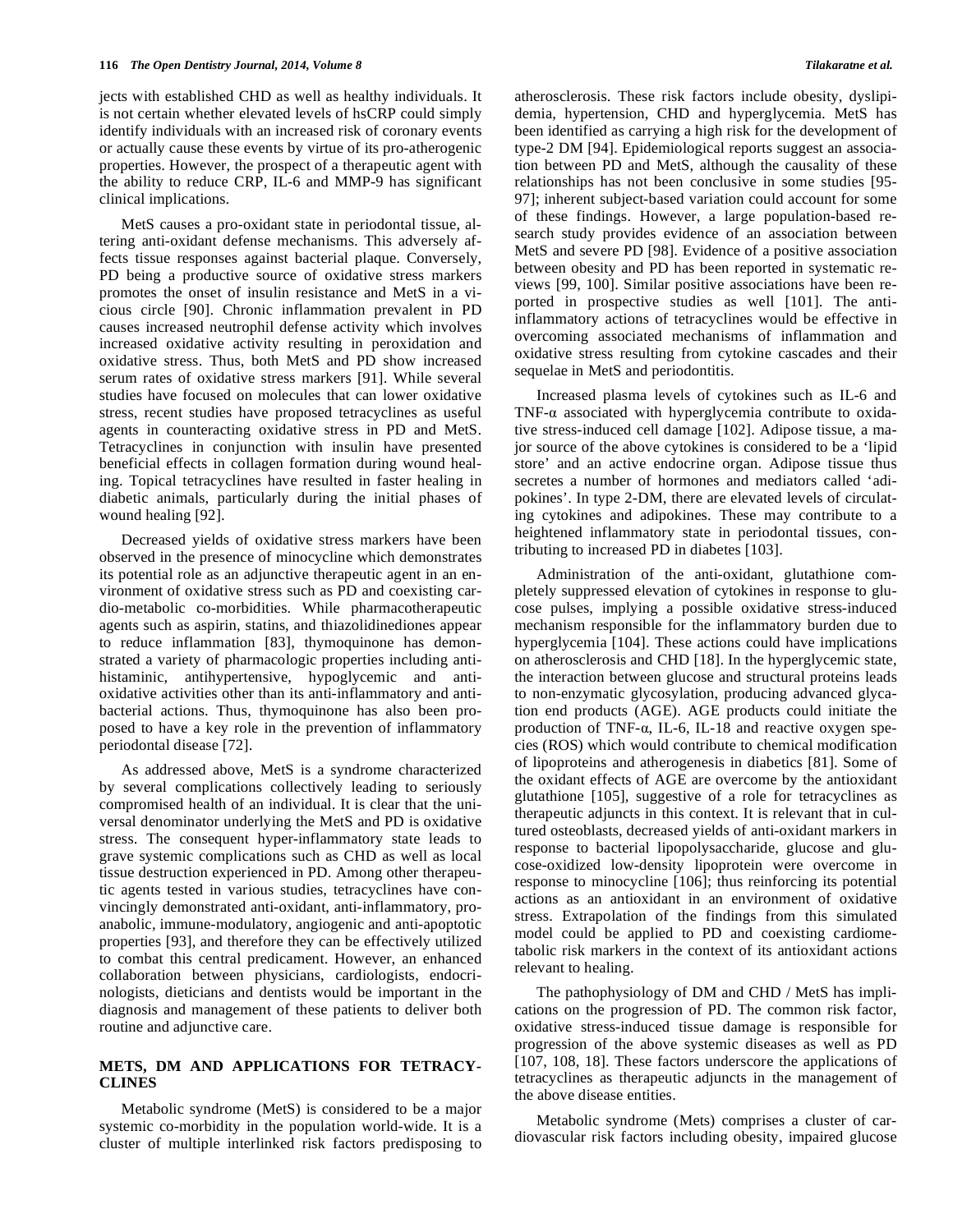jects with established CHD as well as healthy individuals. It is not certain whether elevated levels of hsCRP could simply identify individuals with an increased risk of coronary events or actually cause these events by virtue of its pro-atherogenic properties. However, the prospect of a therapeutic agent with the ability to reduce CRP, IL-6 and MMP-9 has significant clinical implications.

MetS causes a pro-oxidant state in periodontal tissue, altering anti-oxidant defense mechanisms. This adversely affects tissue responses against bacterial plaque. Conversely, PD being a productive source of oxidative stress markers promotes the onset of insulin resistance and MetS in a vicious circle [90]. Chronic inflammation prevalent in PD causes increased neutrophil defense activity which involves increased oxidative activity resulting in peroxidation and oxidative stress. Thus, both MetS and PD show increased serum rates of oxidative stress markers [91]. While several studies have focused on molecules that can lower oxidative stress, recent studies have proposed tetracyclines as useful agents in counteracting oxidative stress in PD and MetS. Tetracyclines in conjunction with insulin have presented beneficial effects in collagen formation during wound healing. Topical tetracyclines have resulted in faster healing in diabetic animals, particularly during the initial phases of wound healing [92].

Decreased yields of oxidative stress markers have been observed in the presence of minocycline which demonstrates its potential role as an adjunctive therapeutic agent in an environment of oxidative stress such as PD and coexisting cardio-metabolic co-morbidities. While pharmacotherapeutic agents such as aspirin, statins, and thiazolidinediones appear to reduce inflammation [83], thymoquinone has demonstrated a variety of pharmacologic properties including antihistaminic, antihypertensive, hypoglycemic and antioxidative activities other than its anti-inflammatory and antibacterial actions. Thus, thymoquinone has also been proposed to have a key role in the prevention of inflammatory periodontal disease [72].

As addressed above, MetS is a syndrome characterized by several complications collectively leading to seriously compromised health of an individual. It is clear that the universal denominator underlying the MetS and PD is oxidative stress. The consequent hyper-inflammatory state leads to grave systemic complications such as CHD as well as local tissue destruction experienced in PD. Among other therapeutic agents tested in various studies, tetracyclines have convincingly demonstrated anti-oxidant, anti-inflammatory, proanabolic, immune-modulatory, angiogenic and anti-apoptotic properties [93], and therefore they can be effectively utilized to combat this central predicament. However, an enhanced collaboration between physicians, cardiologists, endocrinologists, dieticians and dentists would be important in the diagnosis and management of these patients to deliver both routine and adjunctive care.

#### **METS, DM AND APPLICATIONS FOR TETRACY-CLINES**

Metabolic syndrome (MetS) is considered to be a major systemic co-morbidity in the population world-wide. It is a cluster of multiple interlinked risk factors predisposing to atherosclerosis. These risk factors include obesity, dyslipidemia, hypertension, CHD and hyperglycemia. MetS has been identified as carrying a high risk for the development of type-2 DM [94]. Epidemiological reports suggest an association between PD and MetS, although the causality of these relationships has not been conclusive in some studies [95- 97]; inherent subject-based variation could account for some of these findings. However, a large population-based research study provides evidence of an association between MetS and severe PD [98]. Evidence of a positive association between obesity and PD has been reported in systematic reviews [99, 100]. Similar positive associations have been reported in prospective studies as well [101]. The antiinflammatory actions of tetracyclines would be effective in overcoming associated mechanisms of inflammation and oxidative stress resulting from cytokine cascades and their sequelae in MetS and periodontitis.

Increased plasma levels of cytokines such as IL-6 and TNF- $\alpha$  associated with hyperglycemia contribute to oxidative stress-induced cell damage [102]. Adipose tissue, a major source of the above cytokines is considered to be a 'lipid store' and an active endocrine organ. Adipose tissue thus secretes a number of hormones and mediators called 'adipokines'. In type 2-DM, there are elevated levels of circulating cytokines and adipokines. These may contribute to a heightened inflammatory state in periodontal tissues, contributing to increased PD in diabetes [103].

Administration of the anti-oxidant, glutathione completely suppressed elevation of cytokines in response to glucose pulses, implying a possible oxidative stress-induced mechanism responsible for the inflammatory burden due to hyperglycemia [104]. These actions could have implications on atherosclerosis and CHD [18]. In the hyperglycemic state, the interaction between glucose and structural proteins leads to non-enzymatic glycosylation, producing advanced glycation end products (AGE). AGE products could initiate the production of TNF- $\alpha$ , IL-6, IL-18 and reactive oxygen species (ROS) which would contribute to chemical modification of lipoproteins and atherogenesis in diabetics [81]. Some of the oxidant effects of AGE are overcome by the antioxidant glutathione [105], suggestive of a role for tetracyclines as therapeutic adjuncts in this context. It is relevant that in cultured osteoblasts, decreased yields of anti-oxidant markers in response to bacterial lipopolysaccharide, glucose and glucose-oxidized low-density lipoprotein were overcome in response to minocycline [106]; thus reinforcing its potential actions as an antioxidant in an environment of oxidative stress. Extrapolation of the findings from this simulated model could be applied to PD and coexisting cardiometabolic risk markers in the context of its antioxidant actions relevant to healing.

The pathophysiology of DM and CHD / MetS has implications on the progression of PD. The common risk factor, oxidative stress-induced tissue damage is responsible for progression of the above systemic diseases as well as PD [107, 108, 18]. These factors underscore the applications of tetracyclines as therapeutic adjuncts in the management of the above disease entities.

Metabolic syndrome (Mets) comprises a cluster of cardiovascular risk factors including obesity, impaired glucose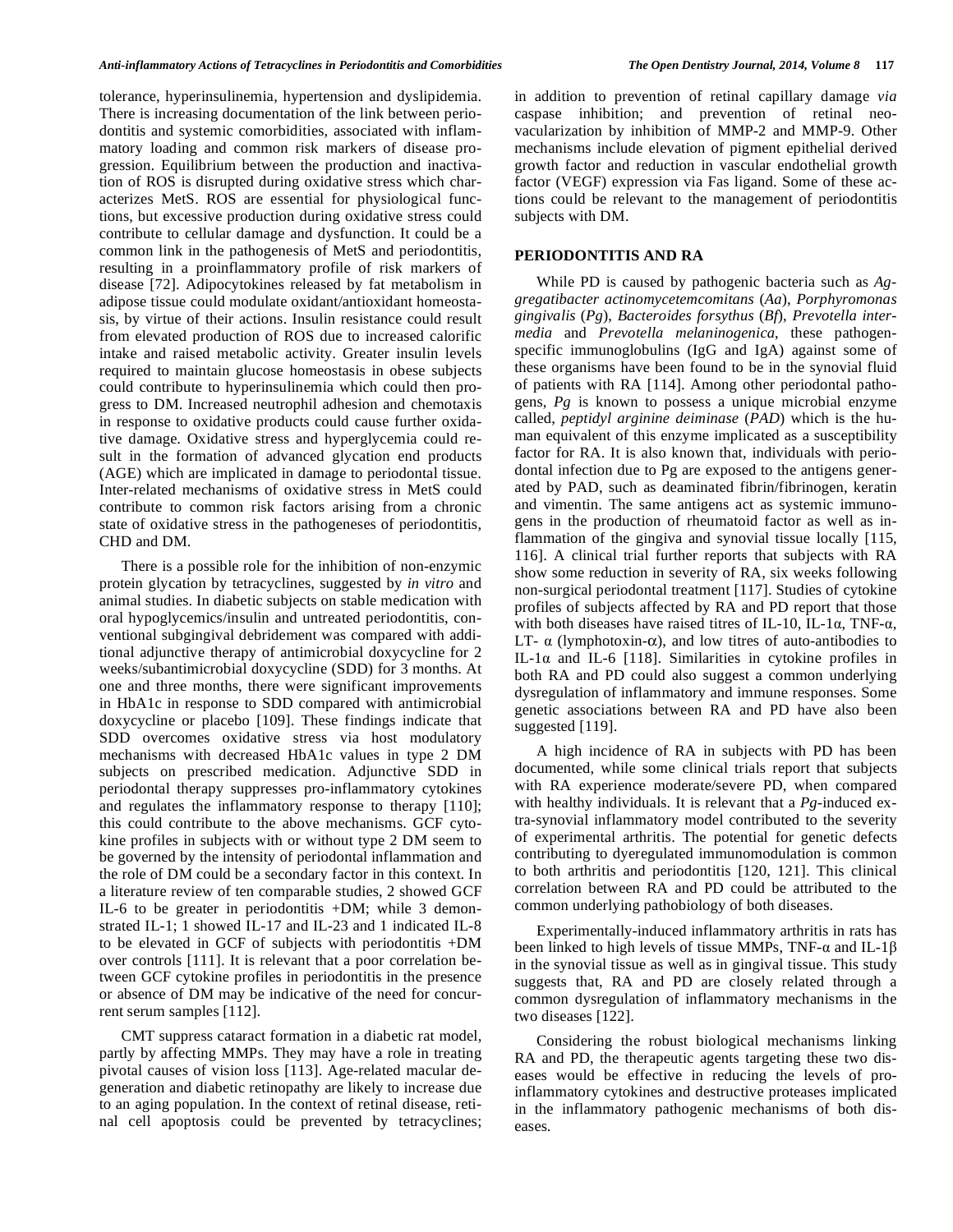tolerance, hyperinsulinemia, hypertension and dyslipidemia. There is increasing documentation of the link between periodontitis and systemic comorbidities, associated with inflammatory loading and common risk markers of disease progression. Equilibrium between the production and inactivation of ROS is disrupted during oxidative stress which characterizes MetS. ROS are essential for physiological functions, but excessive production during oxidative stress could contribute to cellular damage and dysfunction. It could be a common link in the pathogenesis of MetS and periodontitis, resulting in a proinflammatory profile of risk markers of disease [72]. Adipocytokines released by fat metabolism in adipose tissue could modulate oxidant/antioxidant homeostasis, by virtue of their actions. Insulin resistance could result from elevated production of ROS due to increased calorific intake and raised metabolic activity. Greater insulin levels required to maintain glucose homeostasis in obese subjects could contribute to hyperinsulinemia which could then progress to DM. Increased neutrophil adhesion and chemotaxis in response to oxidative products could cause further oxidative damage. Oxidative stress and hyperglycemia could result in the formation of advanced glycation end products (AGE) which are implicated in damage to periodontal tissue. Inter-related mechanisms of oxidative stress in MetS could contribute to common risk factors arising from a chronic state of oxidative stress in the pathogeneses of periodontitis, CHD and DM.

There is a possible role for the inhibition of non-enzymic protein glycation by tetracyclines, suggested by *in vitro* and animal studies. In diabetic subjects on stable medication with oral hypoglycemics/insulin and untreated periodontitis, conventional subgingival debridement was compared with additional adjunctive therapy of antimicrobial doxycycline for 2 weeks/subantimicrobial doxycycline (SDD) for 3 months. At one and three months, there were significant improvements in HbA1c in response to SDD compared with antimicrobial doxycycline or placebo [109]. These findings indicate that SDD overcomes oxidative stress via host modulatory mechanisms with decreased HbA1c values in type 2 DM subjects on prescribed medication. Adjunctive SDD in periodontal therapy suppresses pro-inflammatory cytokines and regulates the inflammatory response to therapy [110]; this could contribute to the above mechanisms. GCF cytokine profiles in subjects with or without type 2 DM seem to be governed by the intensity of periodontal inflammation and the role of DM could be a secondary factor in this context. In a literature review of ten comparable studies, 2 showed GCF IL-6 to be greater in periodontitis +DM; while 3 demonstrated IL-1; 1 showed IL-17 and IL-23 and 1 indicated IL-8 to be elevated in GCF of subjects with periodontitis +DM over controls [111]. It is relevant that a poor correlation between GCF cytokine profiles in periodontitis in the presence or absence of DM may be indicative of the need for concurrent serum samples [112].

CMT suppress cataract formation in a diabetic rat model, partly by affecting MMPs. They may have a role in treating pivotal causes of vision loss [113]. Age-related macular degeneration and diabetic retinopathy are likely to increase due to an aging population. In the context of retinal disease, retinal cell apoptosis could be prevented by tetracyclines;

in addition to prevention of retinal capillary damage *via* caspase inhibition; and prevention of retinal neovacularization by inhibition of MMP-2 and MMP-9. Other mechanisms include elevation of pigment epithelial derived growth factor and reduction in vascular endothelial growth factor (VEGF) expression via Fas ligand. Some of these actions could be relevant to the management of periodontitis subjects with DM.

#### **PERIODONTITIS AND RA**

While PD is caused by pathogenic bacteria such as *Aggregatibacter actinomycetemcomitans* (*Aa*), *Porphyromonas gingivalis* (*Pg*), *Bacteroides forsythus* (*Bf*), *Prevotella intermedia* and *Prevotella melaninogenica*, these pathogenspecific immunoglobulins (IgG and IgA) against some of these organisms have been found to be in the synovial fluid of patients with RA [114]. Among other periodontal pathogens, *Pg* is known to possess a unique microbial enzyme called, *peptidyl arginine deiminase* (*PAD*) which is the human equivalent of this enzyme implicated as a susceptibility factor for RA. It is also known that, individuals with periodontal infection due to Pg are exposed to the antigens generated by PAD, such as deaminated fibrin/fibrinogen, keratin and vimentin. The same antigens act as systemic immunogens in the production of rheumatoid factor as well as inflammation of the gingiva and synovial tissue locally [115, 116]. A clinical trial further reports that subjects with RA show some reduction in severity of RA, six weeks following non-surgical periodontal treatment [117]. Studies of cytokine profiles of subjects affected by RA and PD report that those with both diseases have raised titres of IL-10, IL-1 $\alpha$ , TNF- $\alpha$ , LT-  $\alpha$  (lymphotoxin- $\alpha$ ), and low titres of auto-antibodies to IL-1 $\alpha$  and IL-6 [118]. Similarities in cytokine profiles in both RA and PD could also suggest a common underlying dysregulation of inflammatory and immune responses. Some genetic associations between RA and PD have also been suggested [119].

A high incidence of RA in subjects with PD has been documented, while some clinical trials report that subjects with RA experience moderate/severe PD, when compared with healthy individuals. It is relevant that a *Pg*-induced extra-synovial inflammatory model contributed to the severity of experimental arthritis. The potential for genetic defects contributing to dyeregulated immunomodulation is common to both arthritis and periodontitis [120, 121]. This clinical correlation between RA and PD could be attributed to the common underlying pathobiology of both diseases.

Experimentally-induced inflammatory arthritis in rats has been linked to high levels of tissue MMPs, TNF- $\alpha$  and IL-1 $\beta$ in the synovial tissue as well as in gingival tissue. This study suggests that, RA and PD are closely related through a common dysregulation of inflammatory mechanisms in the two diseases [122].

Considering the robust biological mechanisms linking RA and PD, the therapeutic agents targeting these two diseases would be effective in reducing the levels of proinflammatory cytokines and destructive proteases implicated in the inflammatory pathogenic mechanisms of both diseases.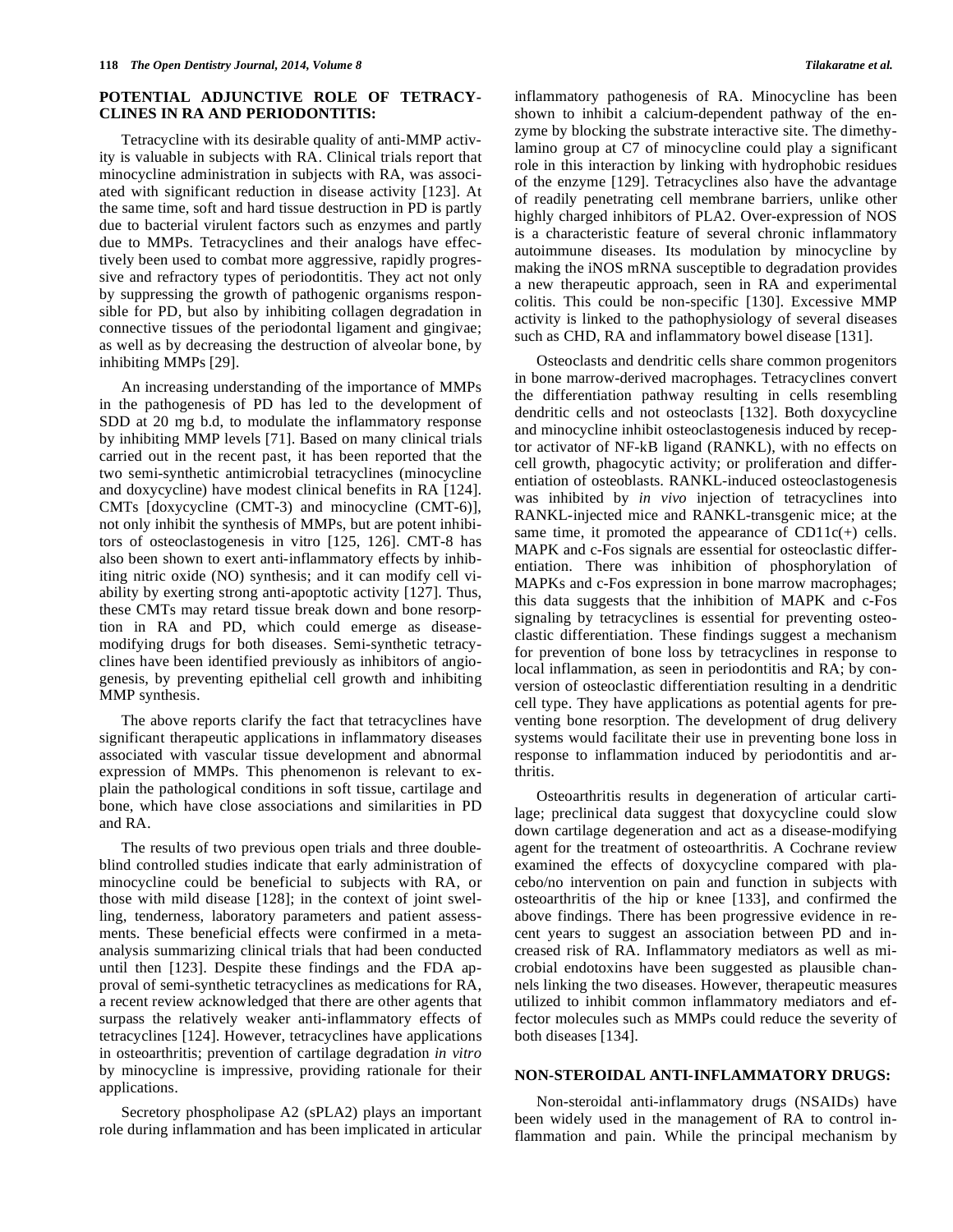## **POTENTIAL ADJUNCTIVE ROLE OF TETRACY-CLINES IN RA AND PERIODONTITIS:**

Tetracycline with its desirable quality of anti-MMP activity is valuable in subjects with RA. Clinical trials report that minocycline administration in subjects with RA, was associated with significant reduction in disease activity [123]. At the same time, soft and hard tissue destruction in PD is partly due to bacterial virulent factors such as enzymes and partly due to MMPs. Tetracyclines and their analogs have effectively been used to combat more aggressive, rapidly progressive and refractory types of periodontitis. They act not only by suppressing the growth of pathogenic organisms responsible for PD, but also by inhibiting collagen degradation in connective tissues of the periodontal ligament and gingivae; as well as by decreasing the destruction of alveolar bone, by inhibiting MMPs [29].

An increasing understanding of the importance of MMPs in the pathogenesis of PD has led to the development of SDD at 20 mg b.d, to modulate the inflammatory response by inhibiting MMP levels [71]. Based on many clinical trials carried out in the recent past, it has been reported that the two semi-synthetic antimicrobial tetracyclines (minocycline and doxycycline) have modest clinical benefits in RA [124]. CMTs [doxycycline (CMT-3) and minocycline (CMT-6)], not only inhibit the synthesis of MMPs, but are potent inhibitors of osteoclastogenesis in vitro [125, 126]. CMT-8 has also been shown to exert anti-inflammatory effects by inhibiting nitric oxide (NO) synthesis; and it can modify cell viability by exerting strong anti-apoptotic activity [127]. Thus, these CMTs may retard tissue break down and bone resorption in RA and PD, which could emerge as diseasemodifying drugs for both diseases. Semi-synthetic tetracyclines have been identified previously as inhibitors of angiogenesis, by preventing epithelial cell growth and inhibiting MMP synthesis.

The above reports clarify the fact that tetracyclines have significant therapeutic applications in inflammatory diseases associated with vascular tissue development and abnormal expression of MMPs. This phenomenon is relevant to explain the pathological conditions in soft tissue, cartilage and bone, which have close associations and similarities in PD and RA.

The results of two previous open trials and three doubleblind controlled studies indicate that early administration of minocycline could be beneficial to subjects with RA, or those with mild disease [128]; in the context of joint swelling, tenderness, laboratory parameters and patient assessments. These beneficial effects were confirmed in a metaanalysis summarizing clinical trials that had been conducted until then [123]. Despite these findings and the FDA approval of semi-synthetic tetracyclines as medications for RA, a recent review acknowledged that there are other agents that surpass the relatively weaker anti-inflammatory effects of tetracyclines [124]. However, tetracyclines have applications in osteoarthritis; prevention of cartilage degradation *in vitro* by minocycline is impressive, providing rationale for their applications.

Secretory phospholipase A2 (sPLA2) plays an important role during inflammation and has been implicated in articular

inflammatory pathogenesis of RA. Minocycline has been shown to inhibit a calcium-dependent pathway of the enzyme by blocking the substrate interactive site. The dimethylamino group at C7 of minocycline could play a significant role in this interaction by linking with hydrophobic residues of the enzyme [129]. Tetracyclines also have the advantage of readily penetrating cell membrane barriers, unlike other highly charged inhibitors of PLA2. Over-expression of NOS is a characteristic feature of several chronic inflammatory autoimmune diseases. Its modulation by minocycline by making the iNOS mRNA susceptible to degradation provides a new therapeutic approach, seen in RA and experimental colitis. This could be non-specific [130]. Excessive MMP activity is linked to the pathophysiology of several diseases such as CHD, RA and inflammatory bowel disease [131].

Osteoclasts and dendritic cells share common progenitors in bone marrow-derived macrophages. Tetracyclines convert the differentiation pathway resulting in cells resembling dendritic cells and not osteoclasts [132]. Both doxycycline and minocycline inhibit osteoclastogenesis induced by receptor activator of NF-kB ligand (RANKL), with no effects on cell growth, phagocytic activity; or proliferation and differentiation of osteoblasts. RANKL-induced osteoclastogenesis was inhibited by *in vivo* injection of tetracyclines into RANKL-injected mice and RANKL-transgenic mice; at the same time, it promoted the appearance of  $CD11c(+)$  cells. MAPK and c-Fos signals are essential for osteoclastic differentiation. There was inhibition of phosphorylation of MAPKs and c-Fos expression in bone marrow macrophages; this data suggests that the inhibition of MAPK and c-Fos signaling by tetracyclines is essential for preventing osteoclastic differentiation. These findings suggest a mechanism for prevention of bone loss by tetracyclines in response to local inflammation, as seen in periodontitis and RA; by conversion of osteoclastic differentiation resulting in a dendritic cell type. They have applications as potential agents for preventing bone resorption. The development of drug delivery systems would facilitate their use in preventing bone loss in response to inflammation induced by periodontitis and arthritis.

Osteoarthritis results in degeneration of articular cartilage; preclinical data suggest that doxycycline could slow down cartilage degeneration and act as a disease-modifying agent for the treatment of osteoarthritis. A Cochrane review examined the effects of doxycycline compared with placebo/no intervention on pain and function in subjects with osteoarthritis of the hip or knee [133], and confirmed the above findings. There has been progressive evidence in recent years to suggest an association between PD and increased risk of RA. Inflammatory mediators as well as microbial endotoxins have been suggested as plausible channels linking the two diseases. However, therapeutic measures utilized to inhibit common inflammatory mediators and effector molecules such as MMPs could reduce the severity of both diseases [134].

#### **NON-STEROIDAL ANTI-INFLAMMATORY DRUGS:**

Non-steroidal anti-inflammatory drugs (NSAIDs) have been widely used in the management of RA to control inflammation and pain. While the principal mechanism by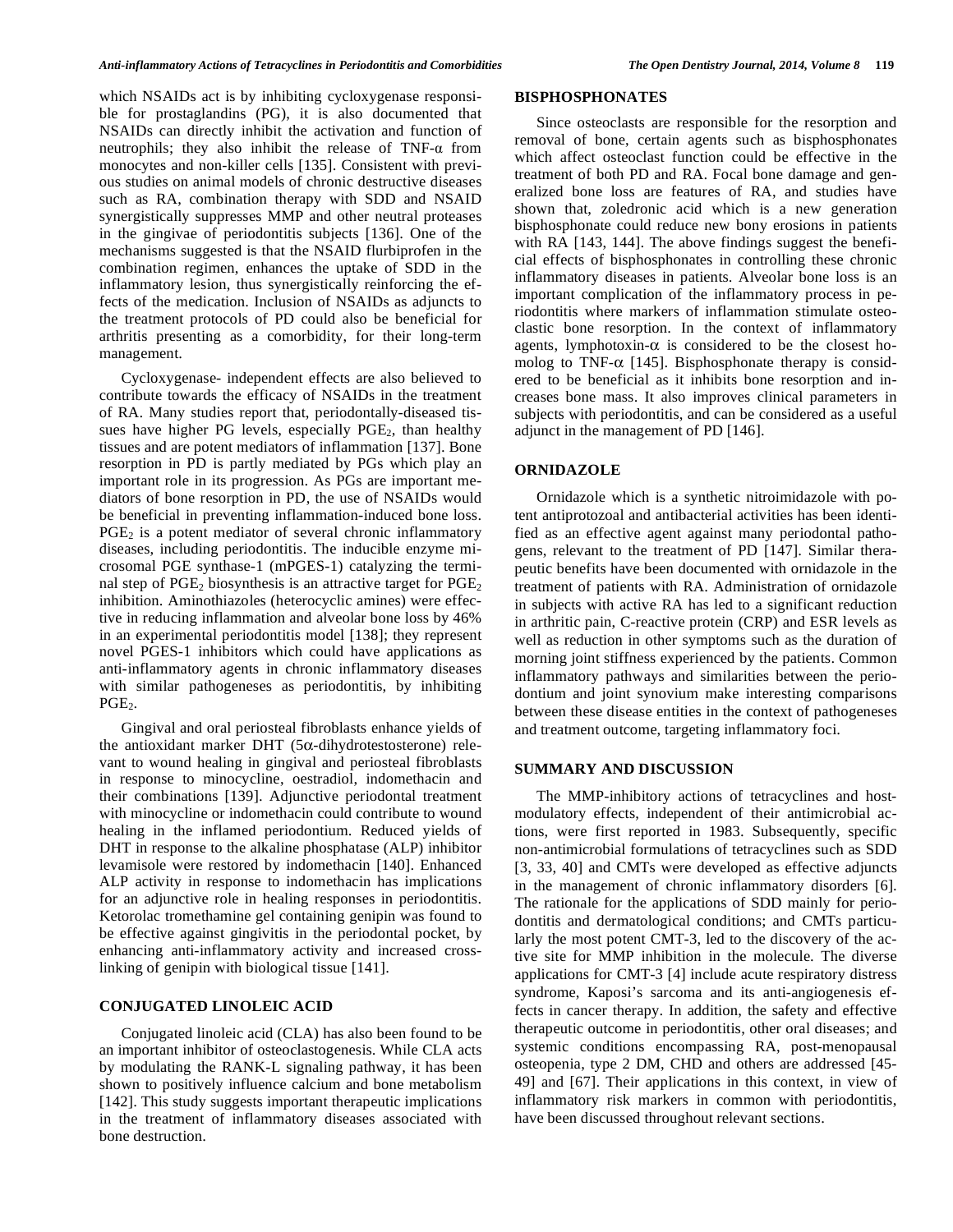which NSAIDs act is by inhibiting cycloxygenase responsible for prostaglandins (PG), it is also documented that NSAIDs can directly inhibit the activation and function of neutrophils; they also inhibit the release of  $TNF-\alpha$  from monocytes and non-killer cells [135]. Consistent with previous studies on animal models of chronic destructive diseases such as RA, combination therapy with SDD and NSAID synergistically suppresses MMP and other neutral proteases in the gingivae of periodontitis subjects [136]. One of the mechanisms suggested is that the NSAID flurbiprofen in the combination regimen, enhances the uptake of SDD in the inflammatory lesion, thus synergistically reinforcing the effects of the medication. Inclusion of NSAIDs as adjuncts to the treatment protocols of PD could also be beneficial for arthritis presenting as a comorbidity, for their long-term management.

Cycloxygenase- independent effects are also believed to contribute towards the efficacy of NSAIDs in the treatment of RA. Many studies report that, periodontally-diseased tissues have higher PG levels, especially  $PGE<sub>2</sub>$ , than healthy tissues and are potent mediators of inflammation [137]. Bone resorption in PD is partly mediated by PGs which play an important role in its progression. As PGs are important mediators of bone resorption in PD, the use of NSAIDs would be beneficial in preventing inflammation-induced bone loss.  $PGE<sub>2</sub>$  is a potent mediator of several chronic inflammatory diseases, including periodontitis. The inducible enzyme microsomal PGE synthase-1 (mPGES-1) catalyzing the terminal step of  $PGE_2$  biosynthesis is an attractive target for  $PGE_2$ inhibition. Aminothiazoles (heterocyclic amines) were effective in reducing inflammation and alveolar bone loss by 46% in an experimental periodontitis model [138]; they represent novel PGES-1 inhibitors which could have applications as anti-inflammatory agents in chronic inflammatory diseases with similar pathogeneses as periodontitis, by inhibiting  $PGE<sub>2</sub>$ .

Gingival and oral periosteal fibroblasts enhance yields of the antioxidant marker DHT ( $5\alpha$ -dihydrotestosterone) relevant to wound healing in gingival and periosteal fibroblasts in response to minocycline, oestradiol, indomethacin and their combinations [139]. Adjunctive periodontal treatment with minocycline or indomethacin could contribute to wound healing in the inflamed periodontium. Reduced yields of DHT in response to the alkaline phosphatase (ALP) inhibitor levamisole were restored by indomethacin [140]. Enhanced ALP activity in response to indomethacin has implications for an adjunctive role in healing responses in periodontitis. Ketorolac tromethamine gel containing genipin was found to be effective against gingivitis in the periodontal pocket, by enhancing anti-inflammatory activity and increased crosslinking of genipin with biological tissue [141].

#### **CONJUGATED LINOLEIC ACID**

Conjugated linoleic acid (CLA) has also been found to be an important inhibitor of osteoclastogenesis. While CLA acts by modulating the RANK-L signaling pathway, it has been shown to positively influence calcium and bone metabolism [142]. This study suggests important therapeutic implications in the treatment of inflammatory diseases associated with bone destruction.

## **BISPHOSPHONATES**

Since osteoclasts are responsible for the resorption and removal of bone, certain agents such as bisphosphonates which affect osteoclast function could be effective in the treatment of both PD and RA. Focal bone damage and generalized bone loss are features of RA, and studies have shown that, zoledronic acid which is a new generation bisphosphonate could reduce new bony erosions in patients with RA [143, 144]. The above findings suggest the beneficial effects of bisphosphonates in controlling these chronic inflammatory diseases in patients. Alveolar bone loss is an important complication of the inflammatory process in periodontitis where markers of inflammation stimulate osteoclastic bone resorption. In the context of inflammatory agents, lymphotoxin- $\alpha$  is considered to be the closest homolog to TNF- $\alpha$  [145]. Bisphosphonate therapy is considered to be beneficial as it inhibits bone resorption and increases bone mass. It also improves clinical parameters in subjects with periodontitis, and can be considered as a useful adjunct in the management of PD [146].

#### **ORNIDAZOLE**

Ornidazole which is a synthetic nitroimidazole with potent antiprotozoal and antibacterial activities has been identified as an effective agent against many periodontal pathogens, relevant to the treatment of PD [147]. Similar therapeutic benefits have been documented with ornidazole in the treatment of patients with RA. Administration of ornidazole in subjects with active RA has led to a significant reduction in arthritic pain, C-reactive protein (CRP) and ESR levels as well as reduction in other symptoms such as the duration of morning joint stiffness experienced by the patients. Common inflammatory pathways and similarities between the periodontium and joint synovium make interesting comparisons between these disease entities in the context of pathogeneses and treatment outcome, targeting inflammatory foci.

## **SUMMARY AND DISCUSSION**

The MMP-inhibitory actions of tetracyclines and hostmodulatory effects, independent of their antimicrobial actions, were first reported in 1983. Subsequently, specific non-antimicrobial formulations of tetracyclines such as SDD [3, 33, 40] and CMTs were developed as effective adjuncts in the management of chronic inflammatory disorders [6]. The rationale for the applications of SDD mainly for periodontitis and dermatological conditions; and CMTs particularly the most potent CMT-3, led to the discovery of the active site for MMP inhibition in the molecule. The diverse applications for CMT-3 [4] include acute respiratory distress syndrome, Kaposi's sarcoma and its anti-angiogenesis effects in cancer therapy. In addition, the safety and effective therapeutic outcome in periodontitis, other oral diseases; and systemic conditions encompassing RA, post-menopausal osteopenia, type 2 DM, CHD and others are addressed [45- 49] and [67]. Their applications in this context, in view of inflammatory risk markers in common with periodontitis, have been discussed throughout relevant sections.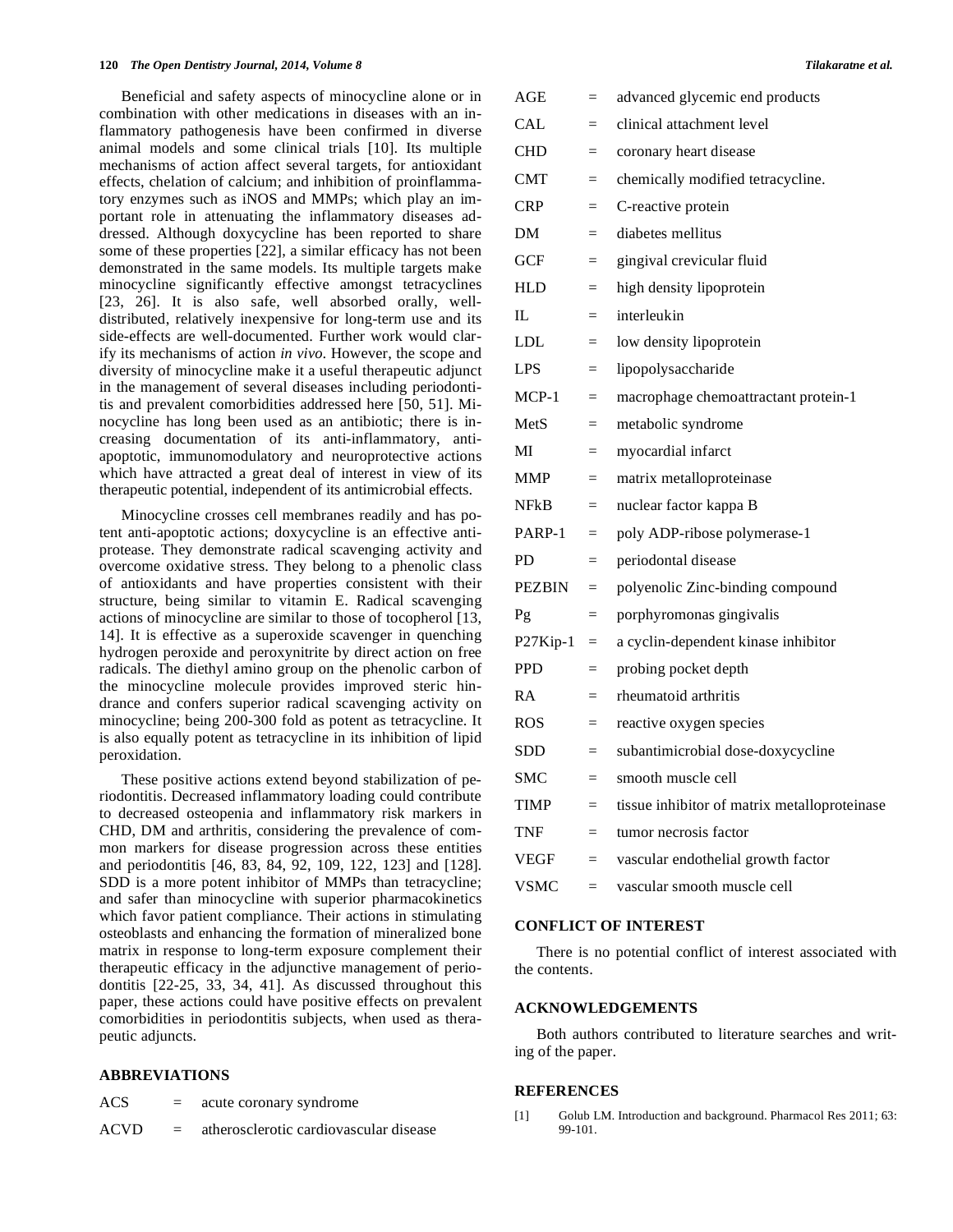Beneficial and safety aspects of minocycline alone or in combination with other medications in diseases with an inflammatory pathogenesis have been confirmed in diverse animal models and some clinical trials [10]. Its multiple mechanisms of action affect several targets, for antioxidant effects, chelation of calcium; and inhibition of proinflammatory enzymes such as iNOS and MMPs; which play an important role in attenuating the inflammatory diseases addressed. Although doxycycline has been reported to share some of these properties [22], a similar efficacy has not been demonstrated in the same models. Its multiple targets make minocycline significantly effective amongst tetracyclines [23, 26]. It is also safe, well absorbed orally, welldistributed, relatively inexpensive for long-term use and its side-effects are well-documented. Further work would clarify its mechanisms of action *in vivo*. However, the scope and diversity of minocycline make it a useful therapeutic adjunct in the management of several diseases including periodontitis and prevalent comorbidities addressed here [50, 51]. Minocycline has long been used as an antibiotic; there is increasing documentation of its anti-inflammatory, antiapoptotic, immunomodulatory and neuroprotective actions which have attracted a great deal of interest in view of its therapeutic potential, independent of its antimicrobial effects.

Minocycline crosses cell membranes readily and has potent anti-apoptotic actions; doxycycline is an effective antiprotease. They demonstrate radical scavenging activity and overcome oxidative stress. They belong to a phenolic class of antioxidants and have properties consistent with their structure, being similar to vitamin E. Radical scavenging actions of minocycline are similar to those of tocopherol [13, 14]. It is effective as a superoxide scavenger in quenching hydrogen peroxide and peroxynitrite by direct action on free radicals. The diethyl amino group on the phenolic carbon of the minocycline molecule provides improved steric hindrance and confers superior radical scavenging activity on minocycline; being 200-300 fold as potent as tetracycline. It is also equally potent as tetracycline in its inhibition of lipid peroxidation.

These positive actions extend beyond stabilization of periodontitis. Decreased inflammatory loading could contribute to decreased osteopenia and inflammatory risk markers in CHD, DM and arthritis, considering the prevalence of common markers for disease progression across these entities and periodontitis [46, 83, 84, 92, 109, 122, 123] and [128]. SDD is a more potent inhibitor of MMPs than tetracycline; and safer than minocycline with superior pharmacokinetics which favor patient compliance. Their actions in stimulating osteoblasts and enhancing the formation of mineralized bone matrix in response to long-term exposure complement their therapeutic efficacy in the adjunctive management of periodontitis [22-25, 33, 34, 41]. As discussed throughout this paper, these actions could have positive effects on prevalent comorbidities in periodontitis subjects, when used as therapeutic adjuncts.

#### **ABBREVIATIONS**

- $ACS =$  acute coronary syndrome
- ACVD = atherosclerotic cardiovascular disease

| $\rm{AGE}$  | $=$      | advanced glycemic end products               |
|-------------|----------|----------------------------------------------|
| <b>CAL</b>  | $=$      | clinical attachment level                    |
| CHD         | $=$      | coronary heart disease                       |
| <b>CMT</b>  | $=$      | chemically modified tetracycline.            |
| CRP         | $=$      | C-reactive protein                           |
| DΜ          | $=$      | diabetes mellitus                            |
| <b>GCF</b>  | $=$      | gingival crevicular fluid                    |
| HLD         | $=$      | high density lipoprotein                     |
| IL          | $=$      | interleukin                                  |
| LDL         | $=$      | low density lipoprotein                      |
| LPS         | $=$      | lipopolysaccharide                           |
| $MCP-1$     | $=$      | macrophage chemoattractant protein-1         |
| MetS        | $=$      | metabolic syndrome                           |
| MI          | $=$      | myocardial infarct                           |
| MMP         | $=$      | matrix metalloproteinase                     |
| NFkB        | $=$      | nuclear factor kappa B                       |
| PARP-1      | $\equiv$ | poly ADP-ribose polymerase-1                 |
| PD          | $=$      | periodontal disease                          |
| PEZBIN      | $=$      | polyenolic Zinc-binding compound             |
| Pg          | $=$      | porphyromonas gingivalis                     |
| $P27$ Kip-1 | $\equiv$ | a cyclin-dependent kinase inhibitor          |
| PPD         | $=$      | probing pocket depth                         |
| RA          | $=$      | rheumatoid arthritis                         |
| ROS         | $=$      | reactive oxygen species                      |
| SDD         | $=$      | subantimicrobial dose-doxycycline            |
| SMC         | $=$      | smooth muscle cell                           |
| <b>TIMP</b> | $=$      | tissue inhibitor of matrix metalloproteinase |
| <b>TNF</b>  | $=$      | tumor necrosis factor                        |
| VEGF        | $=$      | vascular endothelial growth factor           |
| <b>VSMC</b> | $=$      | vascular smooth muscle cell                  |
|             |          |                                              |

## **CONFLICT OF INTEREST**

There is no potential conflict of interest associated with the contents.

#### **ACKNOWLEDGEMENTS**

Both authors contributed to literature searches and writing of the paper.

#### **REFERENCES**

[1] Golub LM. Introduction and background. Pharmacol Res 2011; 63: 99-101.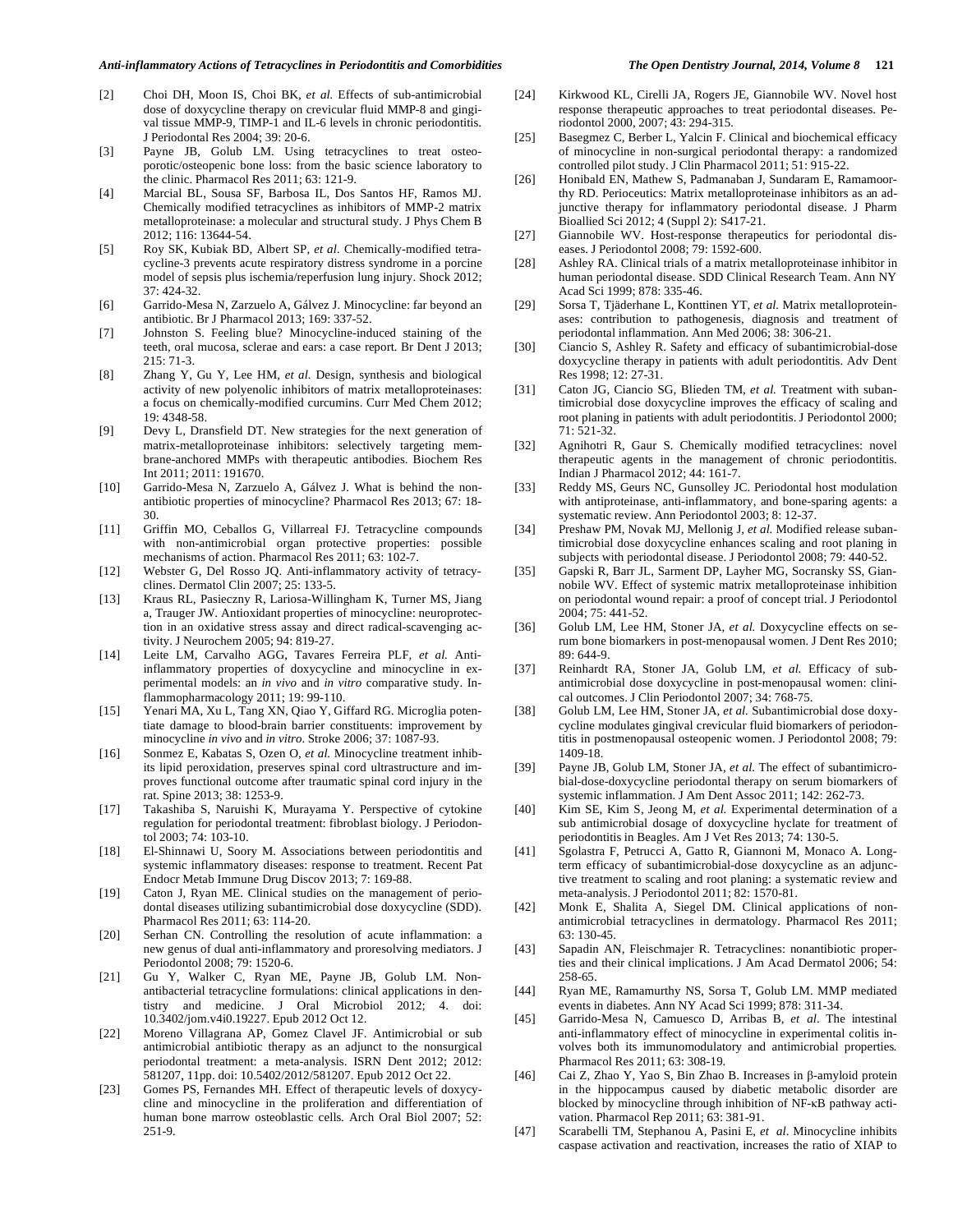#### *Anti-inflammatory Actions of Tetracyclines in Periodontitis and Comorbidities The Open Dentistry Journal, 2014, Volume 8* **121**

- [2] Choi DH, Moon IS, Choi BK*, et al.* Effects of sub-antimicrobial dose of doxycycline therapy on crevicular fluid MMP-8 and gingival tissue MMP-9, TIMP-1 and IL-6 levels in chronic periodontitis. J Periodontal Res 2004; 39: 20-6.
- [3] Payne JB, Golub LM. Using tetracyclines to treat osteoporotic/osteopenic bone loss: from the basic science laboratory to the clinic. Pharmacol Res 2011; 63: 121-9.
- [4] Marcial BL, Sousa SF, Barbosa IL, Dos Santos HF, Ramos MJ. Chemically modified tetracyclines as inhibitors of MMP-2 matrix metalloproteinase: a molecular and structural study. J Phys Chem B 2012; 116: 13644-54.
- [5] Roy SK, Kubiak BD, Albert SP*, et al.* Chemically-modified tetracycline-3 prevents acute respiratory distress syndrome in a porcine model of sepsis plus ischemia/reperfusion lung injury. Shock 2012; 37: 424-32.
- [6] Garrido-Mesa N, Zarzuelo A, Gálvez J. Minocycline: far beyond an antibiotic. Br J Pharmacol 2013; 169: 337-52.
- [7] Johnston S. Feeling blue? Minocycline-induced staining of the teeth, oral mucosa, sclerae and ears: a case report. Br Dent J 2013; 215: 71-3.
- [8] Zhang Y, Gu Y, Lee HM*, et al.* Design, synthesis and biological activity of new polyenolic inhibitors of matrix metalloproteinases: a focus on chemically-modified curcumins. Curr Med Chem 2012; 19: 4348-58.
- [9] Devy L, Dransfield DT. New strategies for the next generation of matrix-metalloproteinase inhibitors: selectively targeting membrane-anchored MMPs with therapeutic antibodies. Biochem Res Int 2011; 2011: 191670.
- [10] Garrido-Mesa N, Zarzuelo A, Gálvez J. What is behind the nonantibiotic properties of minocycline? Pharmacol Res 2013; 67: 18- 30.
- [11] Griffin MO, Ceballos G, Villarreal FJ. Tetracycline compounds with non-antimicrobial organ protective properties: possible mechanisms of action. Pharmacol Res 2011; 63: 102-7.
- [12] Webster G, Del Rosso JQ. Anti-inflammatory activity of tetracyclines. Dermatol Clin 2007; 25: 133-5.
- [13] Kraus RL, Pasieczny R, Lariosa-Willingham K, Turner MS, Jiang a, Trauger JW. Antioxidant properties of minocycline: neuroprotection in an oxidative stress assay and direct radical-scavenging activity. J Neurochem 2005; 94: 819-27.
- [14] Leite LM, Carvalho AGG, Tavares Ferreira PLF*, et al.* Antiinflammatory properties of doxycycline and minocycline in experimental models: an *in vivo* and *in vitro* comparative study. Inflammopharmacology 2011; 19: 99-110.
- [15] Yenari MA, Xu L, Tang XN, Qiao Y, Giffard RG. Microglia potentiate damage to blood-brain barrier constituents: improvement by minocycline *in vivo* and *in vitro*. Stroke 2006; 37: 1087-93.
- [16] Sonmez E, Kabatas S, Ozen O*, et al.* Minocycline treatment inhibits lipid peroxidation, preserves spinal cord ultrastructure and improves functional outcome after traumatic spinal cord injury in the rat. Spine 2013; 38: 1253-9.
- [17] Takashiba S, Naruishi K, Murayama Y. Perspective of cytokine regulation for periodontal treatment: fibroblast biology. J Periodontol 2003; 74: 103-10.
- [18] El-Shinnawi U, Soory M. Associations between periodontitis and systemic inflammatory diseases: response to treatment. Recent Pat Endocr Metab Immune Drug Discov 2013; 7: 169-88.
- [19] Caton J, Ryan ME. Clinical studies on the management of periodontal diseases utilizing subantimicrobial dose doxycycline (SDD). Pharmacol Res 2011; 63: 114-20.
- [20] Serhan CN. Controlling the resolution of acute inflammation: a new genus of dual anti-inflammatory and proresolving mediators. J Periodontol 2008; 79: 1520-6.
- [21] Gu Y, Walker C, Ryan ME, Payne JB, Golub LM. Nonantibacterial tetracycline formulations: clinical applications in dentistry and medicine. J Oral Microbiol 2012; 4. doi: 10.3402/jom.v4i0.19227. Epub 2012 Oct 12.
- [22] Moreno Villagrana AP, Gomez Clavel JF. Antimicrobial or sub antimicrobial antibiotic therapy as an adjunct to the nonsurgical periodontal treatment: a meta-analysis. ISRN Dent 2012; 2012: 581207, 11pp. doi: 10.5402/2012/581207. Epub 2012 Oct 22.
- [23] Gomes PS*,* Fernandes MH*.* Effect of therapeutic levels of doxycycline and minocycline in the proliferation and differentiation of human bone marrow osteoblastic cells*.* Arch Oral Biol 2007; 52: 251-9*.*
- [24] Kirkwood KL*,* Cirelli JA*,* Rogers JE*,* Giannobile WV*.* Novel host response therapeutic approaches to treat periodontal diseases. Periodontol 2000, 2007; 43: 294*-*315*.*
- [25] Basegmez C, Berber L, Yalcin F. Clinical and biochemical efficacy of minocycline in non-surgical periodontal therapy: a randomized controlled pilot study. J Clin Pharmacol 2011; 51: 915-22.
- [26] Honibald EN, Mathew S, Padmanaban J, Sundaram E, Ramamoorthy RD. Perioceutics: Matrix metalloproteinase inhibitors as an adjunctive therapy for inflammatory periodontal disease. J Pharm Bioallied Sci 2012; 4 (Suppl 2): S417-21.
- [27] Giannobile WV. Host-response therapeutics for periodontal diseases. J Periodontol 2008; 79: 1592-600.
- [28] Ashley RA. Clinical trials of a matrix metalloproteinase inhibitor in human periodontal disease. SDD Clinical Research Team. Ann NY Acad Sci 1999; 878: 335-46.
- [29] Sorsa T, Tjäderhane L, Konttinen YT*, et al.* Matrix metalloproteinases: contribution to pathogenesis, diagnosis and treatment of periodontal inflammation. Ann Med 2006; 38: 306-21.
- [30] Ciancio S, Ashley R. Safety and efficacy of subantimicrobial-dose doxycycline therapy in patients with adult periodontitis. Adv Dent Res 1998; 12: 27-31.
- [31] Caton JG, Ciancio SG, Blieden TM*, et al.* Treatment with subantimicrobial dose doxycycline improves the efficacy of scaling and root planing in patients with adult periodontitis. J Periodontol 2000; 71: 521-32.
- [32] Agnihotri R, Gaur S. Chemically modified tetracyclines: novel therapeutic agents in the management of chronic periodontitis. Indian J Pharmacol 2012; 44: 161-7.
- [33] Reddy MS, Geurs NC, Gunsolley JC. Periodontal host modulation with antiproteinase, anti-inflammatory, and bone-sparing agents: a systematic review. Ann Periodontol 2003; 8: 12-37.
- [34] Preshaw PM, Novak MJ, Mellonig J*, et al.* Modified release subantimicrobial dose doxycycline enhances scaling and root planing in subjects with periodontal disease. J Periodontol 2008; 79: 440-52.
- [35] Gapski R, Barr JL, Sarment DP, Layher MG, Socransky SS, Giannobile WV. Effect of systemic matrix metalloproteinase inhibition on periodontal wound repair: a proof of concept trial. J Periodontol  $2004 \cdot 75 \cdot 441 - 52$
- [36] Golub LM, Lee HM, Stoner JA, et al. Doxycycline effects on serum bone biomarkers in post-menopausal women. J Dent Res 2010; 89: 644-9.
- [37] Reinhardt RA, Stoner JA, Golub LM*, et al.* Efficacy of subantimicrobial dose doxycycline in post-menopausal women: clinical outcomes. J Clin Periodontol 2007; 34: 768-75.
- [38] Golub LM, Lee HM, Stoner JA*, et al.* Subantimicrobial dose doxycycline modulates gingival crevicular fluid biomarkers of periodontitis in postmenopausal osteopenic women. J Periodontol 2008; 79: 1409-18.
- [39] Payne JB, Golub LM, Stoner JA*, et al.* The effect of subantimicrobial-dose-doxycycline periodontal therapy on serum biomarkers of systemic inflammation. J Am Dent Assoc 2011; 142: 262-73.
- [40] Kim SE, Kim S, Jeong M*, et al.* Experimental determination of a sub antimicrobial dosage of doxycycline hyclate for treatment of periodontitis in Beagles. Am J Vet Res 2013; 74: 130-5.
- [41] Sgolastra F, Petrucci A, Gatto R, Giannoni M, Monaco A. Longterm efficacy of subantimicrobial-dose doxycycline as an adjunctive treatment to scaling and root planing: a systematic review and meta-analysis. J Periodontol 2011; 82: 1570-81.
- [42] Monk E, Shalita A, Siegel DM. Clinical applications of nonantimicrobial tetracyclines in dermatology. Pharmacol Res 2011; 63: 130-45.
- [43] Sapadin AN, Fleischmajer R. Tetracyclines: nonantibiotic properties and their clinical implications. J Am Acad Dermatol 2006; 54: 258-65.
- [44] Ryan ME, Ramamurthy NS, Sorsa T, Golub LM. MMP mediated events in diabetes. Ann NY Acad Sci 1999; 878: 311-34.
- [45] Garrido-Mesa N*,* Camuesco D*,* Arribas B, *et al*. The intestinal anti-inflammatory effect of minocycline in experimental colitis involves both its immunomodulatory and antimicrobial properties*.*  Pharmacol Res 2011; 63: 308-19*.*
- [46] Cai Z, Zhao Y, Yao S, Bin Zhao B. Increases in  $\beta$ -amyloid protein in the hippocampus caused by diabetic metabolic disorder are blocked by minocycline through inhibition of NF-KB pathway activation. Pharmacol Rep 2011; 63: 381-91.
- [47] Scarabelli TM*,* Stephanou A*,* Pasini E, *et al*. Minocycline inhibits caspase activation and reactivation, increases the ratio of XIAP to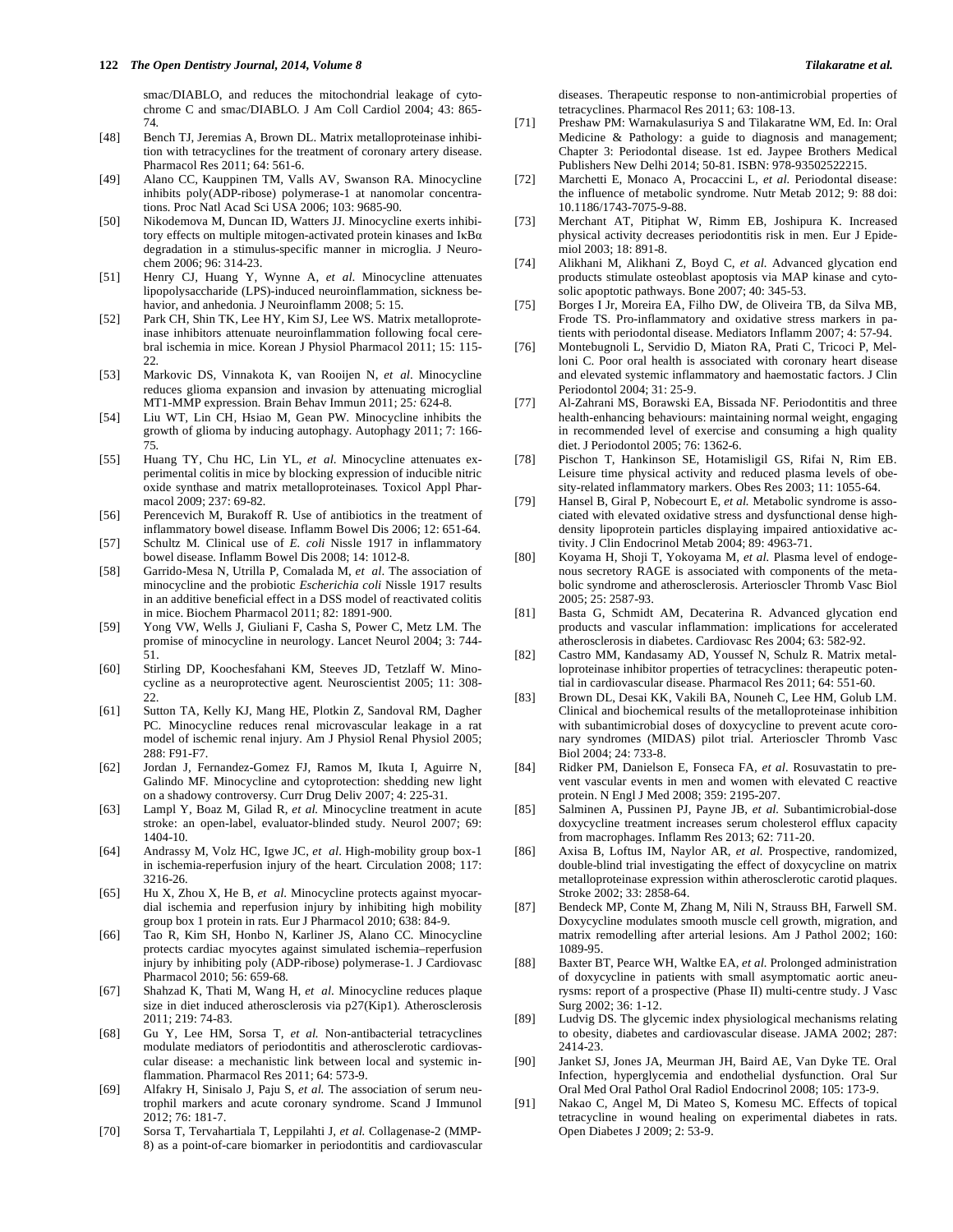smac/DIABLO, and reduces the mitochondrial leakage of cytochrome C and smac/DIABLO*.* J Am Coll Cardiol 2004; 43: 865- 74*.*

- [48] Bench TJ, Jeremias A, Brown DL. Matrix metalloproteinase inhibition with tetracyclines for the treatment of coronary artery disease. Pharmacol Res 2011; 64: 561-6.
- [49] Alano CC*,* Kauppinen TM*,* Valls AV*,* Swanson RA*.* Minocycline inhibits poly(ADP-ribose) polymerase-1 at nanomolar concentrations*.* Proc Natl Acad Sci USA 2006; 103: 9685-90*.*
- [50] Nikodemova M, Duncan ID, Watters JJ. Minocycline exerts inhibitory effects on multiple mitogen-activated protein kinases and  $I\kappa Ba$ degradation in a stimulus-specific manner in microglia. J Neurochem 2006; 96: 314-23.
- [51] Henry CJ*,* Huang Y*,* Wynne A, *et al*. Minocycline attenuates lipopolysaccharide (LPS)-induced neuroinflammation, sickness behavior, and anhedonia*.* J Neuroinflamm 2008; 5: 15*.*
- [52] Park CH*,* Shin TK*,* Lee HY*,* Kim SJ*,* Lee WS*.* Matrix metalloproteinase inhibitors attenuate neuroinflammation following focal cerebral ischemia in mice*.* Korean J Physiol Pharmacol 2011; 15: 115- 22*.*
- [53] Markovic DS*,* Vinnakota K, van Rooijen N, *et al*. Minocycline reduces glioma expansion and invasion by attenuating microglial MT1-MMP expression*.* Brain Behav Immun 2011; 25*:* 624-8*.*
- [54] Liu WT*,* Lin CH*,* Hsiao M*,* Gean PW*.* Minocycline inhibits the growth of glioma by inducing autophagy*.* Autophagy 2011; 7: 166- 75*.*
- [55] Huang TY*,* Chu HC*,* Lin YL, *et al*. Minocycline attenuates experimental colitis in mice by blocking expression of inducible nitric oxide synthase and matrix metalloproteinases*.* Toxicol Appl Pharmacol 2009; 237: 69*-*82*.*
- [56] Perencevich M*,* Burakoff R*.* Use of antibiotics in the treatment of inflammatory bowel disease*.* Inflamm Bowel Dis 2006; 12: 651-64*.*
- [57] Schultz M*.* Clinical use of *E. coli* Nissle 1917 in inflammatory bowel disease*.* Inflamm Bowel Dis 2008; 14: 1012-8*.*
- [58] Garrido-Mesa N*,* Utrilla P*,* Comalada M, *et al*. The association of minocycline and the probiotic *Escherichia coli* Nissle 1917 results in an additive beneficial effect in a DSS model of reactivated colitis in mice. Biochem Pharmacol 2011; 82: 1891-900*.*
- [59] Yong VW, Wells J, Giuliani F, Casha S, Power C, Metz LM. The promise of minocycline in neurology. Lancet Neurol 2004; 3: 744- 51.
- [60] Stirling DP*,* Koochesfahani KM*,* Steeves JD*,* Tetzlaff W*.* Minocycline as a neuroprotective agent*.* Neuroscientist 2005; 11: 308- 22.
- [61] Sutton TA*,* Kelly KJ*,* Mang HE*,* Plotkin Z*,* Sandoval RM*,* Dagher PC. Minocycline reduces renal microvascular leakage in a rat model of ischemic renal injury*.* Am J Physiol Renal Physiol 2005; 288: F91*-*F7*.*
- [62] Jordan J*,* Fernandez-Gomez FJ*,* Ramos M*,* Ikuta I*,* Aguirre N*,*  Galindo MF*.* Minocycline and cytoprotection: shedding new light on a shadowy controversy*.* Curr Drug Deliv 2007; 4: 225-31*.*
- [63] Lampl Y*,* Boaz M*,* Gilad R*, et al.* Minocycline treatment in acute stroke: an open-label, evaluator-blinded study*.* Neurol 2007; 69: 1404-10*.*
- [64] Andrassy M*,* Volz HC*,* Igwe JC, *et al*. High-mobility group box-1 in ischemia-reperfusion injury of the heart*.* Circulation 2008; 117: 3216-26*.*
- [65] Hu X*,* Zhou X*,* He B, *et al*. Minocycline protects against myocardial ischemia and reperfusion injury by inhibiting high mobility group box 1 protein in rats*.* Eur J Pharmacol 2010; 638: 84-9*.*
- [66] Tao R*,* Kim SH*,* Honbo N*,* Karliner JS*,* Alano CC*.* Minocycline protects cardiac myocytes against simulated ischemia–reperfusion injury by inhibiting poly (ADP-ribose) polymerase-1*.* J Cardiovasc Pharmacol 2010; 56: 659-68*.*
- [67] Shahzad K*,* Thati M*,* Wang H, *et al*. Minocycline reduces plaque size in diet induced atherosclerosis via p27(Kip1)*.* Atherosclerosis 2011; 219: 74*-*83*.*
- [68] Gu Y, Lee HM, Sorsa T*, et al.* Non-antibacterial tetracyclines modulate mediators of periodontitis and atherosclerotic cardiovascular disease: a mechanistic link between local and systemic inflammation. Pharmacol Res 2011; 64: 573-9.
- [69] Alfakry H, Sinisalo J, Paju S, *et al.* The association of serum neutrophil markers and acute coronary syndrome. Scand J Immunol 2012; 76: 181-7.
- [70] Sorsa T, Tervahartiala T, Leppilahti J*, et al.* Collagenase-2 (MMP-8) as a point-of-care biomarker in periodontitis and cardiovascular

diseases. Therapeutic response to non-antimicrobial properties of tetracyclines. Pharmacol Res 2011; 63: 108-13.

- [71] Preshaw PM: Warnakulasuriya S and Tilakaratne WM, Ed. In: Oral Medicine & Pathology: a guide to diagnosis and management; Chapter 3: Periodontal disease. 1st ed. Jaypee Brothers Medical Publishers New Delhi 2014; 50-81. ISBN: 978-93502522215.
- [72] Marchetti E, Monaco A, Procaccini L*, et al.* Periodontal disease: the influence of metabolic syndrome. Nutr Metab 2012; 9: 88 doi: 10.1186/1743-7075-9-88.
- [73] Merchant AT, Pitiphat W, Rimm EB, Joshipura K. Increased physical activity decreases periodontitis risk in men. Eur J Epidemiol 2003; 18: 891-8.
- [74] Alikhani M, Alikhani Z, Boyd C*, et al.* Advanced glycation end products stimulate osteoblast apoptosis via MAP kinase and cytosolic apoptotic pathways. Bone 2007; 40: 345-53.
- [75] Borges I Jr, Moreira EA, Filho DW, de Oliveira TB, da Silva MB, Frode TS. Pro-inflammatory and oxidative stress markers in patients with periodontal disease. Mediators Inflamm 2007; 4: 57-94.
- [76] Montebugnoli L, Servidio D, Miaton RA, Prati C, Tricoci P, Melloni C. Poor oral health is associated with coronary heart disease and elevated systemic inflammatory and haemostatic factors. J Clin Periodontol 2004; 31: 25-9.
- [77] Al-Zahrani MS, Borawski EA, Bissada NF. Periodontitis and three health-enhancing behaviours: maintaining normal weight, engaging in recommended level of exercise and consuming a high quality diet. J Periodontol 2005; 76: 1362-6.
- [78] Pischon T, Hankinson SE, Hotamisligil GS, Rifai N, Rim EB. Leisure time physical activity and reduced plasma levels of obesity-related inflammatory markers. Obes Res 2003; 11: 1055-64.
- [79] Hansel B, Giral P, Nobecourt E*, et al.* Metabolic syndrome is associated with elevated oxidative stress and dysfunctional dense highdensity lipoprotein particles displaying impaired antioxidative activity. J Clin Endocrinol Metab 2004; 89: 4963-71.
- [80] Koyama H, Shoji T, Yokoyama M*, et al.* Plasma level of endogenous secretory RAGE is associated with components of the metabolic syndrome and atherosclerosis. Arterioscler Thromb Vasc Biol 2005; 25: 2587-93.
- [81] Basta G, Schmidt AM, Decaterina R. Advanced glycation end products and vascular inflammation: implications for accelerated atherosclerosis in diabetes. Cardiovasc Res 2004; 63: 582-92.
- [82] Castro MM, Kandasamy AD, Youssef N, Schulz R. Matrix metalloproteinase inhibitor properties of tetracyclines: therapeutic potential in cardiovascular disease. Pharmacol Res 2011; 64: 551-60.
- [83] Brown DL, Desai KK, Vakili BA, Nouneh C, Lee HM, Golub LM. Clinical and biochemical results of the metalloproteinase inhibition with subantimicrobial doses of doxycycline to prevent acute coronary syndromes (MIDAS) pilot trial. Arterioscler Thromb Vasc Biol 2004; 24: 733-8.
- [84] Ridker PM, Danielson E, Fonseca FA*, et al.* Rosuvastatin to prevent vascular events in men and women with elevated C reactive protein. N Engl J Med 2008; 359: 2195-207.
- [85] Salminen A, Pussinen PJ, Payne JB*, et al.* Subantimicrobial-dose doxycycline treatment increases serum cholesterol efflux capacity from macrophages. Inflamm Res 2013; 62: 711-20.
- [86] Axisa B, Loftus IM, Naylor AR*, et al.* Prospective, randomized, double-blind trial investigating the effect of doxycycline on matrix metalloproteinase expression within atherosclerotic carotid plaques. Stroke 2002; 33: 2858-64.
- [87] Bendeck MP, Conte M, Zhang M, Nili N, Strauss BH, Farwell SM. Doxycycline modulates smooth muscle cell growth, migration, and matrix remodelling after arterial lesions. Am J Pathol 2002; 160: 1089-95.
- [88] Baxter BT, Pearce WH, Waltke EA*, et al.* Prolonged administration of doxycycline in patients with small asymptomatic aortic aneurysms: report of a prospective (Phase II) multi-centre study. J Vasc Surg 2002; 36: 1-12.
- [89] Ludvig DS. The glycemic index physiological mechanisms relating to obesity, diabetes and cardiovascular disease. JAMA 2002; 287: 2414-23.
- [90] Janket SJ, Jones JA, Meurman JH, Baird AE, Van Dyke TE. Oral Infection, hyperglycemia and endothelial dysfunction. Oral Sur Oral Med Oral Pathol Oral Radiol Endocrinol 2008; 105: 173-9.
- [91] Nakao C, Angel M, Di Mateo S, Komesu MC. Effects of topical tetracycline in wound healing on experimental diabetes in rats. Open Diabetes J 2009; 2: 53-9.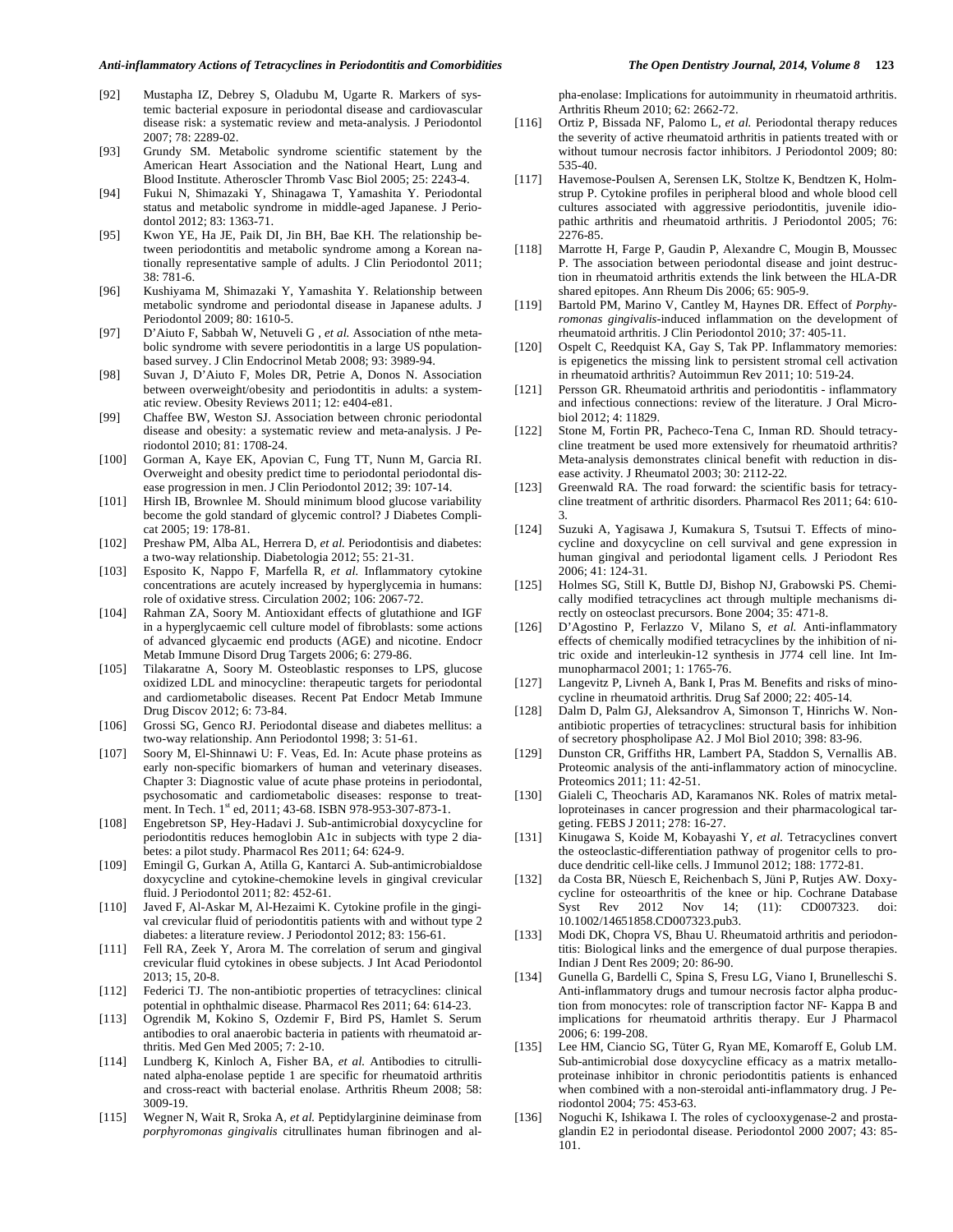- [92] Mustapha IZ, Debrey S, Oladubu M, Ugarte R. Markers of systemic bacterial exposure in periodontal disease and cardiovascular disease risk: a systematic review and meta-analysis. J Periodontol 2007; 78: 2289-02.
- [93] Grundy SM. Metabolic syndrome scientific statement by the American Heart Association and the National Heart, Lung and Blood Institute. Atheroscler Thromb Vasc Biol 2005; 25: 2243-4.
- [94] Fukui N, Shimazaki Y, Shinagawa T, Yamashita Y. Periodontal status and metabolic syndrome in middle-aged Japanese. J Periodontol 2012; 83: 1363-71.
- [95] Kwon YE, Ha JE, Paik DI, Jin BH, Bae KH. The relationship between periodontitis and metabolic syndrome among a Korean nationally representative sample of adults. J Clin Periodontol 2011; 38: 781-6.
- [96] Kushiyama M, Shimazaki Y, Yamashita Y. Relationship between metabolic syndrome and periodontal disease in Japanese adults. J Periodontol 2009; 80: 1610-5.
- [97] D'Aiuto F, Sabbah W, Netuveli G *, et al.* Association of nthe metabolic syndrome with severe periodontitis in a large US populationbased survey. J Clin Endocrinol Metab 2008; 93: 3989-94.
- [98] Suvan J, D'Aiuto F, Moles DR, Petrie A, Donos N. Association between overweight/obesity and periodontitis in adults: a systematic review. Obesity Reviews 2011; 12: e404-e81.
- [99] Chaffee BW, Weston SJ. Association between chronic periodontal disease and obesity: a systematic review and meta-analysis. J Periodontol 2010; 81: 1708-24.
- [100] Gorman A, Kaye EK, Apovian C, Fung TT, Nunn M, Garcia RI. Overweight and obesity predict time to periodontal periodontal disease progression in men. J Clin Periodontol 2012; 39: 107-14.
- [101] Hirsh IB, Brownlee M. Should minimum blood glucose variability become the gold standard of glycemic control? J Diabetes Complicat 2005; 19: 178-81.
- [102] Preshaw PM, Alba AL, Herrera D, et al. Periodontisis and diabetes: a two-way relationship. Diabetologia 2012; 55: 21-31.
- [103] Esposito K, Nappo F, Marfella R*, et al.* Inflammatory cytokine concentrations are acutely increased by hyperglycemia in humans: role of oxidative stress. Circulation 2002; 106: 2067-72.
- [104] Rahman ZA, Soory M. Antioxidant effects of glutathione and IGF in a hyperglycaemic cell culture model of fibroblasts: some actions of advanced glycaemic end products (AGE) and nicotine. Endocr Metab Immune Disord Drug Targets 2006; 6: 279-86.
- [105] Tilakaratne A, Soory M. Osteoblastic responses to LPS, glucose oxidized LDL and minocycline: therapeutic targets for periodontal and cardiometabolic diseases. Recent Pat Endocr Metab Immune Drug Discov 2012; 6: 73-84.
- [106] Grossi SG, Genco RJ. Periodontal disease and diabetes mellitus: a two-way relationship. Ann Periodontol 1998; 3: 51-61.
- [107] Soory M, El-Shinnawi U: F. Veas, Ed. In: Acute phase proteins as early non-specific biomarkers of human and veterinary diseases. Chapter 3: Diagnostic value of acute phase proteins in periodontal, psychosomatic and cardiometabolic diseases: response to treatment. In Tech. 1st ed, 2011; 43-68. ISBN 978-953-307-873-1.
- [108] Engebretson SP, Hey-Hadavi J. Sub-antimicrobial doxycycline for periodontitis reduces hemoglobin A1c in subjects with type 2 diabetes: a pilot study. Pharmacol Res 2011; 64: 624-9.
- [109] Emingil G, Gurkan A, Atilla G, Kantarci A. Sub-antimicrobialdose doxycycline and cytokine-chemokine levels in gingival crevicular fluid. J Periodontol 2011; 82: 452-61.
- [110] Javed F, Al-Askar M, Al-Hezaimi K. Cytokine profile in the gingival crevicular fluid of periodontitis patients with and without type 2 diabetes: a literature review. J Periodontol 2012; 83: 156-61.
- [111] Fell RA, Zeek Y, Arora M. The correlation of serum and gingival crevicular fluid cytokines in obese subjects. J Int Acad Periodontol 2013; 15, 20-8.
- [112] Federici TJ. The non-antibiotic properties of tetracyclines: clinical potential in ophthalmic disease. Pharmacol Res 2011; 64: 614-23.
- [113] Ogrendik M, Kokino S, Ozdemir F, Bird PS, Hamlet S. Serum antibodies to oral anaerobic bacteria in patients with rheumatoid arthritis. Med Gen Med 2005; 7: 2-10.
- [114] Lundberg K, Kinloch A, Fisher BA*, et al.* Antibodies to citrullinated alpha-enolase peptide 1 are specific for rheumatoid arthritis and cross-react with bacterial enolase. Arthritis Rheum 2008; 58: 3009-19.
- [115] Wegner N, Wait R, Sroka A*, et al.* Peptidylarginine deiminase from *porphyromonas gingivalis* citrullinates human fibrinogen and al-

pha-enolase: Implications for autoimmunity in rheumatoid arthritis. Arthritis Rheum 2010; 62: 2662-72.

- [116] Ortiz P, Bissada NF, Palomo L*, et al.* Periodontal therapy reduces the severity of active rheumatoid arthritis in patients treated with or without tumour necrosis factor inhibitors. J Periodontol 2009; 80: 535-40.
- [117] Havemose-Poulsen A, Serensen LK, Stoltze K, Bendtzen K, Holmstrup P. Cytokine profiles in peripheral blood and whole blood cell cultures associated with aggressive periodontitis, juvenile idiopathic arthritis and rheumatoid arthritis. J Periodontol 2005; 76: 2276-85.
- [118] Marrotte H, Farge P, Gaudin P, Alexandre C, Mougin B, Moussec P. The association between periodontal disease and joint destruction in rheumatoid arthritis extends the link between the HLA-DR shared epitopes. Ann Rheum Dis 2006; 65: 905-9.
- [119] Bartold PM, Marino V, Cantley M, Haynes DR. Effect of *Porphyromonas gingivalis*-induced inflammation on the development of rheumatoid arthritis. J Clin Periodontol 2010; 37: 405-11.
- [120] Ospelt C, Reedquist KA, Gay S, Tak PP. Inflammatory memories: is epigenetics the missing link to persistent stromal cell activation in rheumatoid arthritis? Autoimmun Rev 2011; 10: 519-24.
- [121] Persson GR. Rheumatoid arthritis and periodontitis inflammatory and infectious connections: review of the literature. J Oral Microbiol 2012; 4: 11829.
- [122] Stone M*,* Fortin PR*,* Pacheco-Tena C*,* Inman RD*.* Should tetracycline treatment be used more extensively for rheumatoid arthritis? Meta-analysis demonstrates clinical benefit with reduction in disease activity*.* J Rheumatol 2003; 30: 2112*-*22*.*
- [123] Greenwald RA. The road forward: the scientific basis for tetracycline treatment of arthritic disorders*.* Pharmacol Res 2011; 64: 610*-* 3*.*
- [124] Suzuki A*,* Yagisawa J*,* Kumakura S*,* Tsutsui T*.* Effects of minocycline and doxycycline on cell survival and gene expression in human gingival and periodontal ligament cells*.* J Periodont Res 2006; 41: 124*-*31*.*
- [125] Holmes SG, Still K, Buttle DJ, Bishop NJ, Grabowski PS. Chemically modified tetracyclines act through multiple mechanisms directly on osteoclast precursors. Bone 2004; 35: 471-8.
- [126] D'Agostino P, Ferlazzo V, Milano S*, et al.* Anti-inflammatory effects of chemically modified tetracyclines by the inhibition of nitric oxide and interleukin-12 synthesis in J774 cell line. Int Immunopharmacol 2001; 1: 1765-76.
- [127] Langevitz P*,* Livneh A*,* Bank I*,* Pras M*.* Benefits and risks of minocycline in rheumatoid arthritis*.* Drug Saf 2000; 22: 405*-*14*.*
- [128] Dalm D, Palm GJ, Aleksandrov A, Simonson T, Hinrichs W. Nonantibiotic properties of tetracyclines: structural basis for inhibition of secretory phospholipase A2. J Mol Biol 2010; 398: 83-96.
- [129] Dunston CR, Griffiths HR, Lambert PA, Staddon S, Vernallis AB. Proteomic analysis of the anti-inflammatory action of minocycline. Proteomics 2011; 11: 42-51.
- [130] Gialeli C, Theocharis AD, Karamanos NK. Roles of matrix metalloproteinases in cancer progression and their pharmacological targeting. FEBS J 2011; 278: 16-27.
- [131] Kinugawa S, Koide M, Kobayashi Y*, et al.* Tetracyclines convert the osteoclastic-differentiation pathway of progenitor cells to produce dendritic cell-like cells. J Immunol 2012; 188: 1772-81.
- [132] da Costa BR, Nüesch E, Reichenbach S, Jüni P, Rutjes AW. Doxycycline for osteoarthritis of the knee or hip. Cochrane Database Syst Rev 2012 Nov 14; (11): CD007323. doi: 10.1002/14651858.CD007323.pub3.
- [133] Modi DK, Chopra VS, Bhau U. Rheumatoid arthritis and periodontitis: Biological links and the emergence of dual purpose therapies. Indian J Dent Res 2009; 20: 86-90.
- [134] Gunella G, Bardelli C, Spina S, Fresu LG, Viano I, Brunelleschi S. Anti-inflammatory drugs and tumour necrosis factor alpha production from monocytes: role of transcription factor NF- Kappa B and implications for rheumatoid arthritis therapy. Eur J Pharmacol 2006; 6: 199-208.
- [135] Lee HM, Ciancio SG, Tüter G, Ryan ME, Komaroff E, Golub LM. Sub-antimicrobial dose doxycycline efficacy as a matrix metalloproteinase inhibitor in chronic periodontitis patients is enhanced when combined with a non-steroidal anti-inflammatory drug. J Periodontol 2004; 75: 453-63.
- [136] Noguchi K, Ishikawa I. The roles of cyclooxygenase-2 and prostaglandin E2 in periodontal disease. Periodontol 2000 2007; 43: 85- 101.